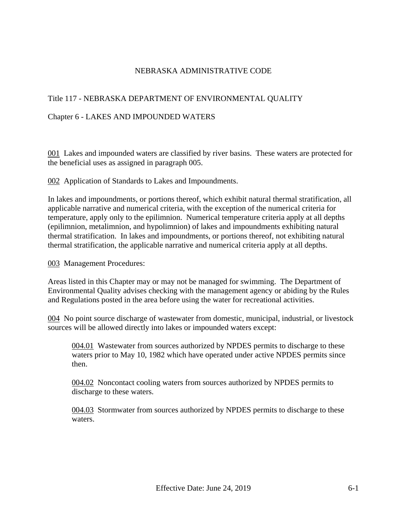## NEBRASKA ADMINISTRATIVE CODE

## Title 117 - NEBRASKA DEPARTMENT OF ENVIRONMENTAL QUALITY

## Chapter 6 - LAKES AND IMPOUNDED WATERS

001 Lakes and impounded waters are classified by river basins. These waters are protected for the beneficial uses as assigned in paragraph 005.

002 Application of Standards to Lakes and Impoundments.

In lakes and impoundments, or portions thereof, which exhibit natural thermal stratification, all applicable narrative and numerical criteria, with the exception of the numerical criteria for temperature, apply only to the epilimnion. Numerical temperature criteria apply at all depths (epilimnion, metalimnion, and hypolimnion) of lakes and impoundments exhibiting natural thermal stratification. In lakes and impoundments, or portions thereof, not exhibiting natural thermal stratification, the applicable narrative and numerical criteria apply at all depths.

003 Management Procedures:

Areas listed in this Chapter may or may not be managed for swimming. The Department of Environmental Quality advises checking with the management agency or abiding by the Rules and Regulations posted in the area before using the water for recreational activities.

004 No point source discharge of wastewater from domestic, municipal, industrial, or livestock sources will be allowed directly into lakes or impounded waters except:

004.01 Wastewater from sources authorized by NPDES permits to discharge to these waters prior to May 10, 1982 which have operated under active NPDES permits since then.

004.02 Noncontact cooling waters from sources authorized by NPDES permits to discharge to these waters.

004.03 Stormwater from sources authorized by NPDES permits to discharge to these waters.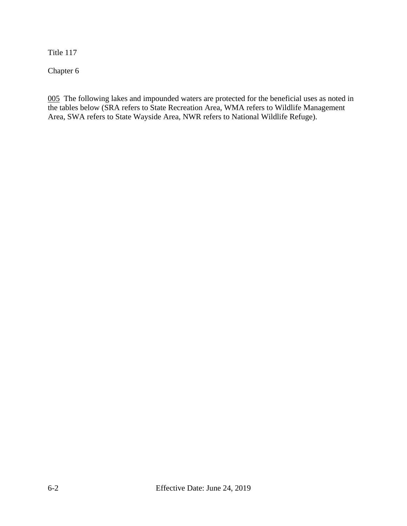Title 117

Chapter 6

005 The following lakes and impounded waters are protected for the beneficial uses as noted in the tables below (SRA refers to State Recreation Area, WMA refers to Wildlife Management Area, SWA refers to State Wayside Area, NWR refers to National Wildlife Refuge).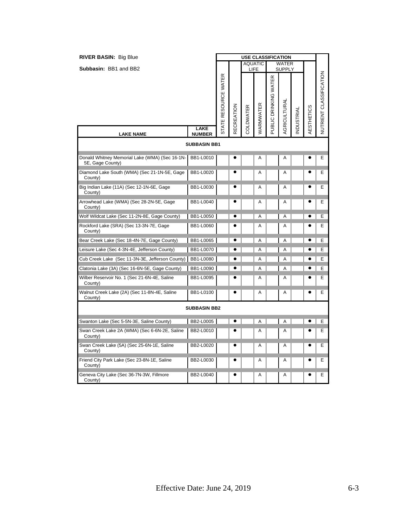| <b>RIVER BASIN: Big Blue</b>                                       |                              | <b>USE CLASSIFICATION</b><br><b>AQUATIC</b> |                   |           |           |                       |                               |                  |            |                         |
|--------------------------------------------------------------------|------------------------------|---------------------------------------------|-------------------|-----------|-----------|-----------------------|-------------------------------|------------------|------------|-------------------------|
| <b>Subbasin: BB1 and BB2</b>                                       |                              |                                             |                   | LIFE      |           |                       | <b>WATER</b><br><b>SUPPLY</b> |                  |            |                         |
|                                                                    |                              | STATE RESOURCE WATER                        | <b>RECREATION</b> | COLDWATER | WARMWATER | PUBLIC DRINKING WATER | <b>AGRICULTURAI</b>           | <b>NDUSTRIAL</b> | AESTHETICS | NUTRIENT CLASSIFICATION |
| <b>LAKE NAME</b>                                                   | <b>LAKE</b><br><b>NUMBER</b> |                                             |                   |           |           |                       |                               |                  |            |                         |
|                                                                    | <b>SUBBASIN BB1</b>          |                                             |                   |           |           |                       |                               |                  |            |                         |
| Donald Whitney Memorial Lake (WMA) (Sec 16-1N-<br>5E, Gage County) | BB1-L0010                    |                                             |                   |           | A         |                       | A                             |                  |            | E                       |
| Diamond Lake South (WMA) (Sec 21-1N-5E, Gage<br>County)            | BB1-L0020                    |                                             |                   |           | A         |                       | A                             |                  |            | Е                       |
| Big Indian Lake (11A) (Sec 12-1N-6E, Gage<br>County)               | BB1-L0030                    |                                             |                   |           | Α         |                       | Α                             |                  |            | Ε                       |
| Arrowhead Lake (WMA) (Sec 28-2N-5E, Gage<br>County)                | BB1-L0040                    |                                             | $\bullet$         |           | A         |                       | A                             |                  |            | Е                       |
| Wolf Wildcat Lake (Sec 11-2N-8E, Gage County)                      | BB1-L0050                    |                                             | 0                 |           | Α         |                       | A                             |                  |            | Ε                       |
| Rockford Lake (SRA) (Sec 13-3N-7E, Gage<br>County)                 | BB1-L0060                    |                                             |                   |           | A         |                       | A                             |                  |            | Е                       |
| Bear Creek Lake (Sec 18-4N-7E, Gage County)                        | BB1-L0065                    |                                             | $\bullet$         |           | A         |                       | Α                             |                  |            | Ε                       |
| Leisure Lake (Sec 4-3N-4E, Jefferson County)                       | BB1-L0070                    |                                             |                   |           | Α         |                       | Α                             |                  |            | Е                       |
| Cub Creek Lake (Sec 11-3N-3E, Jefferson County)                    | BB1-L0080                    |                                             |                   |           | Α         |                       | Α                             |                  |            | Е                       |
| Clatonia Lake (3A) (Sec 16-6N-5E, Gage County)                     | BB1-L0090                    |                                             | $\bullet$         |           | Α         |                       | A                             |                  |            | Е                       |
| Wilber Reservoir No. 1 (Sec 21-6N-4E, Saline<br>County)            | BB1-L0095                    |                                             |                   |           | Α         |                       | A                             |                  |            | Е                       |
| Walnut Creek Lake (2A) (Sec 11-8N-4E, Saline<br>County)            | BB1-L0100                    |                                             |                   |           | Α         |                       | A                             |                  |            | E                       |
|                                                                    | <b>SUBBASIN BB2</b>          |                                             |                   |           |           |                       |                               |                  |            |                         |
| Swanton Lake (Sec 5-5N-3E, Saline County)                          | BB2-L0005                    |                                             | $\bullet$         |           | A         |                       | A                             |                  | $\bullet$  | Ε                       |
| Swan Creek Lake 2A (WMA) (Sec 6-6N-2E, Saline<br>County)           | BB2-L0010                    |                                             |                   |           | A         |                       | A                             |                  |            | Е                       |
| Swan Creek Lake (5A) (Sec 25-6N-1E, Saline<br>County)              | BB2-L0020                    |                                             |                   |           | Α         |                       | Α                             |                  |            | Е                       |
| Friend City Park Lake (Sec 23-8N-1E, Saline<br>County)             | BB2-L0030                    |                                             |                   |           | Α         |                       | Α                             |                  |            | Е                       |
| Geneva City Lake (Sec 36-7N-3W, Fillmore<br>County)                | BB2-L0040                    |                                             | $\bullet$         |           | Α         |                       | A                             |                  | ●          | Е                       |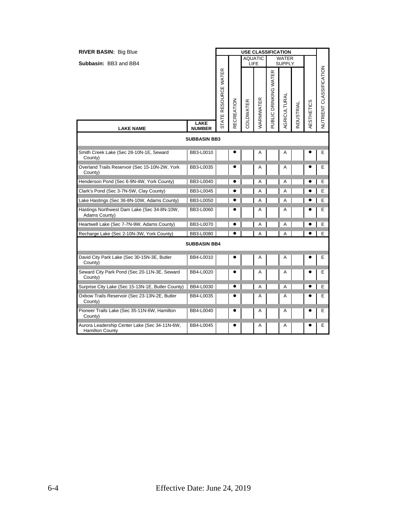| <b>RIVER BASIN: Big Blue</b>                                            |                              | <b>USE CLASSIFICATION</b> |            |           |                               |                       |                               |           |            |                                |
|-------------------------------------------------------------------------|------------------------------|---------------------------|------------|-----------|-------------------------------|-----------------------|-------------------------------|-----------|------------|--------------------------------|
| Subbasin: BB3 and BB4                                                   |                              |                           |            |           | <b>AQUATIC</b><br><b>LIFE</b> |                       | <b>WATER</b><br><b>SUPPLY</b> |           |            |                                |
|                                                                         |                              | STATE RESOURCE WATER      | RECREATION | COLDWATER | WARMWATER                     | PUBLIC DRINKING WATER | AGRICULTURAL                  | NDUSTRIAL | AESTHETICS | <b>NUTRIENT CLASSIFICATION</b> |
| <b>LAKE NAME</b>                                                        | <b>LAKE</b><br><b>NUMBER</b> |                           |            |           |                               |                       |                               |           |            |                                |
|                                                                         | <b>SUBBASIN BB3</b>          |                           |            |           |                               |                       |                               |           |            |                                |
| Smith Creek Lake (Sec 28-10N-1E, Seward<br>County)                      | BB3-L0010                    |                           |            |           | Α                             |                       | Α                             |           |            | E                              |
| Overland Trails Reservoir (Sec 15-10N-2W, York<br>County)               | BB3-L0035                    |                           |            |           | Α                             |                       | Α                             |           |            | E                              |
| Henderson Pond (Sec 6-9N-4W, York County)                               | BB3-L0040                    |                           | e          |           | Α                             |                       | A                             |           |            | E                              |
| Clark's Pond (Sec 3-7N-5W, Clay County)                                 | BB3-L0045                    |                           |            |           | Α                             |                       | A                             |           |            | Е                              |
| Lake Hastings (Sec 36-8N-10W, Adams County)                             | BB3-L0050                    |                           | $\bullet$  |           | Α                             |                       | A                             |           |            | E                              |
| Hastings Northwest Dam Lake (Sec 34-8N-10W,<br>Adams County)            | BB3-L0060                    |                           | 0          |           | Α                             |                       | Α                             |           |            | Е                              |
| Heartwell Lake (Sec 7-7N-9W, Adams County)                              | BB3-L0070                    |                           | $\bullet$  |           | Α                             |                       | A                             |           |            | E                              |
| Recharge Lake (Sec 2-10N-3W, York County)                               | BB3-L0080                    |                           | $\bullet$  |           | A                             |                       | A                             |           |            | E                              |
|                                                                         | <b>SUBBASIN BB4</b>          |                           |            |           |                               |                       |                               |           |            |                                |
| David City Park Lake (Sec 30-15N-3E, Butler<br>County)                  | BB4-L0010                    |                           |            |           | Α                             |                       | Α                             |           |            | E.                             |
| Seward City Park Pond (Sec 20-11N-3E, Seward<br>County)                 | BB4-L0020                    |                           |            |           | Α                             |                       | Α                             |           |            | E                              |
| Surprise City Lake (Sec 15-13N-1E, Butler County)                       | BB4-L0030                    |                           | 0          |           | Α                             |                       | Α                             |           |            | E                              |
| Oxbow Trails Reservoir (Sec 23-13N-2E, Butler<br>County)                | BB4-L0035                    |                           |            |           | Α                             |                       | Α                             |           |            | E                              |
| Pioneer Trails Lake (Sec 35-11N-6W, Hamilton<br>County)                 | BB4-L0040                    |                           | e          |           | Α                             |                       | Α                             |           |            | E                              |
| Aurora Leadership Center Lake (Sec 34-11N-6W,<br><b>Hamilton County</b> | BB4-L0045                    |                           | $\bullet$  |           | Α                             |                       | Α                             |           | ٠          | Е                              |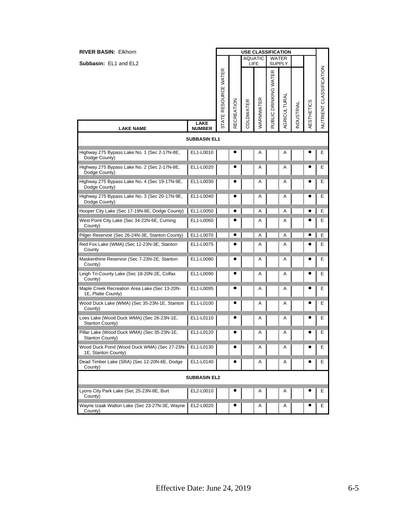| <b>RIVER BASIN: Elkhorn</b>                                         |                       |                      |                   |           | <b>USE CLASSIFICATION</b> |                       |                        |                  |                   |                         |
|---------------------------------------------------------------------|-----------------------|----------------------|-------------------|-----------|---------------------------|-----------------------|------------------------|------------------|-------------------|-------------------------|
| Subbasin: EL1 and EL2                                               |                       |                      |                   |           | <b>AQUATIC</b><br>LIFE    |                       | WATER<br><b>SUPPLY</b> |                  |                   |                         |
| <b>LAKE NAME</b>                                                    | LAKE<br><b>NUMBER</b> | STATE RESOURCE WATER | <b>RECREATION</b> | COLDWATER | WARMWATER                 | PUBLIC DRINKING WATER | AGRICULTURAL           | <b>NDUSTRIAL</b> | <b>AESTHETICS</b> | NUTRIENT CLASSIFICATION |
|                                                                     | <b>SUBBASIN EL1</b>   |                      |                   |           |                           |                       |                        |                  |                   |                         |
| Highway 275 Bypass Lake No. 1 (Sec 2-17N-8E,<br>Dodge County)       | EL1-L0010             |                      |                   |           | Α                         |                       | Α                      |                  |                   | Е                       |
| Highway 275 Bypass Lake No. 2 (Sec 2-17N-8E,<br>Dodge County)       | EL1-L0020             |                      |                   |           | A                         |                       | A                      |                  |                   | Е                       |
| Highway 275 Bypass Lake No. 4 (Sec 19-17N-9E,<br>Dodge County)      | EL1-L0030             |                      |                   |           | Α                         |                       | Α                      |                  |                   | Е                       |
| Highway 275 Bypass Lake No. 3 (Sec 20-17N-9E,<br>Dodge County)      | EL1-L0040             |                      |                   |           | Α                         |                       | A                      |                  |                   | Е                       |
| Hooper City Lake (Sec 17-19N-8E, Dodge County)                      | EL1-L0050             |                      | $\bullet$         |           | Α                         |                       | Α                      |                  | $\bullet$         | E                       |
| West Point City Lake (Sec 34-22N-6E, Cuming<br>County)              | EL1-L0060             |                      |                   |           | A                         |                       | A                      |                  |                   | Е                       |
| Pilger Reservoir (Sec 26-24N-3E, Stanton County)                    | EL1-L0070             |                      | $\bullet$         |           | A                         |                       | Α                      |                  |                   | Е                       |
| Red Fox Lake (WMA) (Sec 11-23N-3E, Stanton<br>County                | EL1-L0075             |                      |                   |           | A                         |                       | Α                      |                  |                   | Е                       |
| Maskenthine Reservoir (Sec 7-23N-2E, Stanton<br>County)             | EL1-L0080             |                      |                   |           | Α                         |                       | Α                      |                  | c                 | Е                       |
| Leigh Tri-County Lake (Sec 18-20N-2E, Colfax<br>County)             | EL1-L0090             |                      |                   |           | Α                         |                       | Α                      |                  |                   | Е                       |
| Maple Creek Recreation Area Lake (Sec 13-20N-<br>1E, Platte County) | EL1-L0095             |                      |                   |           | A                         |                       | A                      |                  |                   | Е                       |
| Wood Duck Lake (WMA) (Sec 35-23N-1E, Stanton<br>County)             | EL1-L0100             |                      |                   |           | Α                         |                       | Α                      |                  |                   | Е                       |
| Loes Lake (Wood Duck WMA) (Sec 26-23N-1E,<br>Stanton County)        | EL1-L0110             |                      | e                 |           | Α                         |                       | Α                      |                  |                   | Е                       |
| Pillar Lake (Wood Duck WMA) (Sec 35-23N-1E,<br>Stanton County)      | EL1-L0120             |                      |                   |           | Α                         |                       | Α                      |                  |                   | E                       |
| Wood Duck Pond (Wood Duck WMA) (Sec 27-23N-<br>1E, Stanton County)  | EL1-L0130             |                      | c                 |           | Α                         |                       | Α                      |                  |                   | Ε                       |
| Dead Timber Lake (SRA) (Sec 12-20N-6E, Dodge<br>County)             | EL1-L0140             |                      |                   |           | Α                         |                       | Α                      |                  |                   | Е                       |
|                                                                     | <b>SUBBASIN EL2</b>   |                      |                   |           |                           |                       |                        |                  |                   |                         |
| Lyons City Park Lake (Sec 25-23N-8E, Burt<br>County)                | EL2-L0010             |                      |                   |           | Α                         |                       | Α                      |                  |                   | E                       |
| Wayne Izaak Walton Lake (Sec 23-27N-3E, Wayne<br>County)            | EL2-L0020             |                      |                   |           | Α                         |                       | Α                      |                  |                   | E.                      |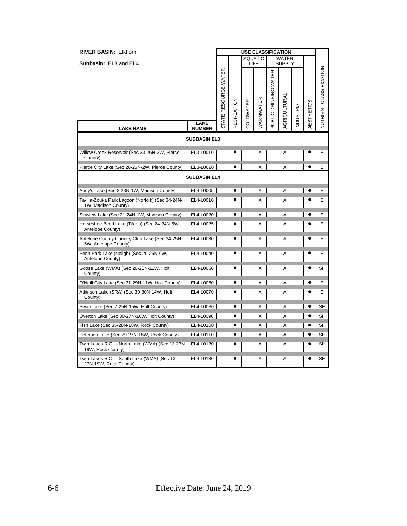| <b>RIVER BASIN: Elkhorn</b>                                            |                     | <b>USE CLASSIFICATION</b> |            |           |                |                       |                               |           |            |                                |
|------------------------------------------------------------------------|---------------------|---------------------------|------------|-----------|----------------|-----------------------|-------------------------------|-----------|------------|--------------------------------|
| Subbasin: EL3 and EL4                                                  |                     |                           |            | LIFE      | <b>AQUATIC</b> |                       | <b>WATER</b><br><b>SUPPLY</b> |           |            |                                |
|                                                                        | LAKE                | ATE RESOURCE WATER        | RECREATION | COLDWATER | WARMWATER      | PUBLIC DRINKING WATER | AGRICULTURAL                  | NDUSTRIAL | AESTHETICS | <b>NUTRIENT CLASSIFICATION</b> |
| <b>LAKE NAME</b>                                                       | <b>NUMBER</b>       | ದ                         |            |           |                |                       |                               |           |            |                                |
|                                                                        | <b>SUBBASIN EL3</b> |                           |            |           |                |                       |                               |           |            |                                |
| Willow Creek Reservoir (Sec 33-26N-2W, Pierce<br>County)               | EL3-L0010           |                           |            |           | Α              |                       | A                             |           |            | Е                              |
| Pierce City Lake (Sec 26-26N-2W, Pierce County)                        | EL3-L0020           |                           | $\bullet$  |           | A              |                       | A                             |           |            | E                              |
|                                                                        | <b>SUBBASIN EL4</b> |                           |            |           |                |                       |                               |           |            |                                |
| Andy's Lake (Sec 2-23N-1W, Madison County)                             | EL4-L0005           |                           |            |           | A              |                       | A                             |           |            | E                              |
| Ta-Ha-Zouka Park Lagoon (Norfolk) (Sec 34-24N-<br>1W, Madison County)  | EL4-L0010           |                           |            |           | Α              |                       | Α                             |           |            | E                              |
| Skyview Lake (Sec 21-24N-1W, Madison County)                           | EL4-L0020           |                           |            |           | Α              |                       | A                             |           |            | E                              |
| Horseshoe Bend Lake (Tilden) (Sec 24-24N-5W,<br>Antelope County)       | EL4-L0025           |                           |            |           | Α              |                       | Α                             |           |            | E                              |
| Antelope County Country Club Lake (Sec 34-25N-<br>6W, Antelope County) | EL4-L0030           |                           |            |           | Α              |                       | Α                             |           |            | E                              |
| Penn Park Lake (Neligh) (Sec 20-25N-6W,<br>Antelope County)            | EL4-L0040           |                           |            |           | A              |                       | A                             |           |            | E                              |
| Goose Lake (WMA) (Sec 26-25N-11W, Holt<br>County)                      | EL4-L0050           |                           |            |           | Α              |                       | Α                             |           |            | SН                             |
| O'Neill City Lake (Sec 31-29N-11W, Holt County)                        | EL4-L0060           |                           |            |           | A              |                       | Α                             |           | ٠          | E                              |
| Atkinson Lake (SRA) (Sec 30-30N-14W, Holt<br>County)                   | EL4-L0070           |                           |            |           | Α              |                       | Α                             |           |            | F                              |
| Swan Lake (Sec 2-25N-15W, Holt County)                                 | EL4-L0080           |                           | $\bullet$  |           | A              |                       | A                             |           |            | SH                             |
| Overton Lake (Sec 30-27N-16W, Holt County)                             | EL4-L0090           |                           | e          |           | Α              |                       | Α                             |           |            | SH                             |
| Fish Lake (Sec 35-28N-18W, Rock County)                                | EL4-L0100           |                           | $\bullet$  |           | Α              |                       | Α                             |           | ٠          | SH                             |
| Peterson Lake (Sec 29-27N-18W, Rock County)                            | EL4-L0110           |                           | $\bullet$  |           | A              |                       | A                             |           |            | SH                             |
| Twin Lakes R.C. - North Lake (WMA) (Sec 13-27N-<br>19W, Rock County)   | EL4-L0120           |                           |            |           | A              |                       | Α                             |           |            | SН                             |
| Twin Lakes R.C. - South Lake (WMA) (Sec 13-<br>27N-19W, Rock County)   | EL4-L0130           |                           |            |           | A              |                       | A                             |           |            | <b>SH</b>                      |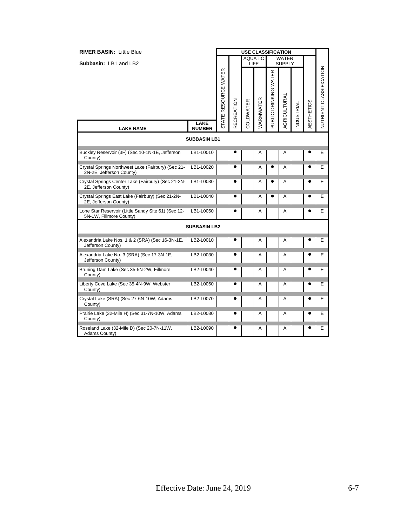| <b>RIVER BASIN: Little Blue</b>                                                |                       |                      |            | <b>USE CLASSIFICATION</b> |                        |                       |                               |           |            |                                |
|--------------------------------------------------------------------------------|-----------------------|----------------------|------------|---------------------------|------------------------|-----------------------|-------------------------------|-----------|------------|--------------------------------|
| Subbasin: LB1 and LB2                                                          |                       |                      |            |                           | <b>AQUATIC</b><br>LIFE |                       | <b>WATER</b><br><b>SUPPLY</b> |           |            |                                |
|                                                                                |                       | STATE RESOURCE WATER | RECREATION | COLDWATER                 | WARMWATER              | PUBLIC DRINKING WATER | AGRICULTURAL                  | NDUSTRIAL | AESTHETICS | <b>NUTRIENT CLASSIFICATION</b> |
| <b>LAKE NAME</b>                                                               | LAKE<br><b>NUMBER</b> |                      |            |                           |                        |                       |                               |           |            |                                |
|                                                                                | <b>SUBBASIN LB1</b>   |                      |            |                           |                        |                       |                               |           |            |                                |
| Buckley Reservoir (3F) (Sec 10-1N-1E, Jefferson<br>County)                     | LB1-L0010             |                      |            |                           | A                      |                       | Α                             |           |            | E                              |
| Crystal Springs Northwest Lake (Fairbury) (Sec 21-<br>2N-2E, Jefferson County) | LB1-L0020             |                      |            |                           | Α                      |                       | Α                             |           |            | Е                              |
| Crystal Springs Center Lake (Fairbury) (Sec 21-2N-<br>2E, Jefferson County)    | LB1-L0030             |                      |            |                           | Α                      |                       | Α                             |           |            | E                              |
| Crystal Springs East Lake (Fairbury) (Sec 21-2N-<br>2E, Jefferson County)      | LB1-L0040             |                      |            |                           | A                      | e                     | Α                             |           | e          | Е                              |
| Lone Star Reservoir (Little Sandy Site 61) (Sec 12-<br>5N-1W, Fillmore County) | LB1-L0050             |                      |            |                           | Α                      |                       | Α                             |           | ٠          | Е                              |
|                                                                                | <b>SUBBASIN LB2</b>   |                      |            |                           |                        |                       |                               |           |            |                                |
| Alexandria Lake Nos. 1 & 2 (SRA) (Sec 16-3N-1E,<br>Jefferson County)           | LB2-L0010             |                      |            |                           | A                      |                       | Α                             |           |            | Е                              |
| Alexandria Lake No. 3 (SRA) (Sec 17-3N-1E,<br>Jefferson County)                | LB2-L0030             |                      |            |                           | Α                      |                       | Α                             |           |            | Е                              |
| Bruning Dam Lake (Sec 35-5N-2W, Fillmore<br>County)                            | LB2-L0040             |                      |            |                           | A                      |                       | Α                             |           |            | Е                              |
| Liberty Cove Lake (Sec 35-4N-9W, Webster<br>County)                            | LB2-L0050             |                      |            |                           | A                      |                       | А                             |           |            | Е                              |
| Crystal Lake (SRA) (Sec 27-6N-10W, Adams<br>County)                            | LB2-L0070             |                      |            |                           | Α                      |                       | Α                             |           |            | Е                              |
| Prairie Lake (32-Mile H) (Sec 31-7N-10W, Adams<br>County)                      | LB2-L0080             |                      |            |                           | Α                      |                       | Α                             |           |            | Е                              |
| Roseland Lake (32-Mile D) (Sec 20-7N-11W,<br>Adams County)                     | LB2-L0090             |                      |            |                           | A                      |                       | А                             |           | e          | Е                              |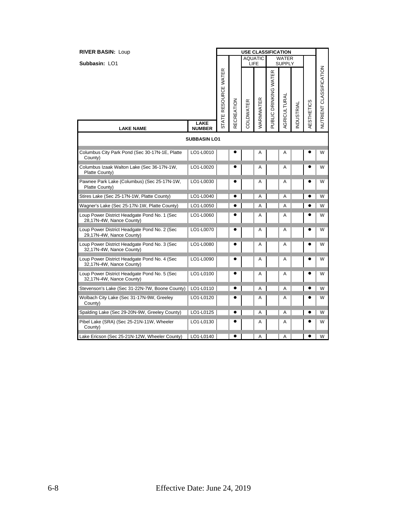| <b>RIVER BASIN: Loup</b>                                                 |                              | <b>USE CLASSIFICATION</b> |            |           |                |                       |                               |           |            |                         |
|--------------------------------------------------------------------------|------------------------------|---------------------------|------------|-----------|----------------|-----------------------|-------------------------------|-----------|------------|-------------------------|
| Subbasin: LO1                                                            |                              |                           |            | LIFE      | <b>AQUATIC</b> |                       | <b>WATER</b><br><b>SUPPLY</b> |           |            |                         |
|                                                                          |                              | STATE RESOURCE WATER      | RECREATION | COLDWATER | WARMWATER      | PUBLIC DRINKING WATER | <b>AGRICULTURAL</b>           | NDUSTRIAL | AESTHETICS | NUTRIENT CLASSIFICATION |
| <b>LAKE NAME</b>                                                         | <b>LAKE</b><br><b>NUMBER</b> |                           |            |           |                |                       |                               |           |            |                         |
|                                                                          | <b>SUBBASIN LO1</b>          |                           |            |           |                |                       |                               |           |            |                         |
| Columbus City Park Pond (Sec 30-17N-1E, Platte<br>County)                | LO1-L0010                    |                           |            |           | A              |                       | Α                             |           |            | W                       |
| Columbus Izaak Walton Lake (Sec 36-17N-1W,<br>Platte County)             | LO1-L0020                    |                           |            |           | A              |                       | Α                             |           |            | W                       |
| Pawnee Park Lake (Columbus) (Sec 25-17N-1W,<br>Platte County)            | LO1-L0030                    |                           |            |           | Α              |                       | Α                             |           |            | W                       |
| Stires Lake (Sec 25-17N-1W, Platte County)                               | LO1-L0040                    |                           |            |           | Α              |                       | A                             |           |            | W                       |
| Wagner's Lake (Sec 25-17N-1W, Platte County)                             | LO1-L0050                    |                           |            |           | A              |                       | A                             |           |            | W                       |
| Loup Power District Headgate Pond No. 1 (Sec<br>28,17N-4W, Nance County) | LO1-L0060                    |                           |            |           | Α              |                       | Α                             |           |            | W                       |
| Loup Power District Headgate Pond No. 2 (Sec<br>29,17N-4W, Nance County) | LO1-L0070                    |                           |            |           | Α              |                       | Α                             |           |            | W                       |
| Loup Power District Headgate Pond No. 3 (Sec<br>32,17N-4W, Nance County) | LO1-L0080                    |                           | e          |           | Α              |                       | Α                             |           |            | W                       |
| Loup Power District Headgate Pond No. 4 (Sec<br>32,17N-4W, Nance County) | LO1-L0090                    |                           |            |           | A              |                       | Α                             |           |            | W                       |
| Loup Power District Headgate Pond No. 5 (Sec<br>32,17N-4W, Nance County) | LO1-L0100                    |                           | $\bullet$  |           | A              |                       | A                             |           |            | W                       |
| Stevenson's Lake (Sec 31-22N-7W, Boone County)   LO1-L0110               |                              |                           |            |           | A              |                       | A                             |           |            | W                       |
| Wolbach City Lake (Sec 31-17N-9W, Greeley<br>County)                     | LO1-L0120                    |                           |            |           | A              |                       | Α                             |           |            | W                       |
| Spalding Lake (Sec 29-20N-9W, Greeley County)                            | LO1-L0125                    |                           |            |           | Α              |                       | Α                             |           |            | W                       |
| Pibel Lake (SRA) (Sec 25-21N-11W, Wheeler<br>County)                     | LO1-L0130                    |                           | e          |           | Α              |                       | Α                             |           |            | W                       |
| Lake Ericson (Sec 25-21N-12W, Wheeler County)                            | LO1-L0140                    |                           | $\bullet$  |           | Α              |                       | Α                             |           | $\bullet$  | W                       |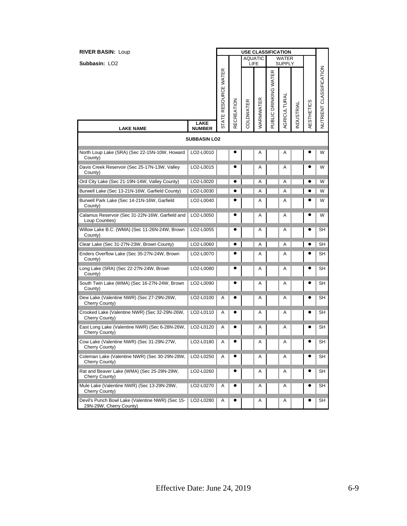| <b>RIVER BASIN: Loup</b>                                                    |                              |                      |            | <b>USE CLASSIFICATION</b> |           |                       |                               |           |                   |                         |
|-----------------------------------------------------------------------------|------------------------------|----------------------|------------|---------------------------|-----------|-----------------------|-------------------------------|-----------|-------------------|-------------------------|
| Subbasin: LO <sub>2</sub>                                                   |                              |                      |            | <b>AQUATIC</b>            | LIFE      |                       | <b>WATER</b><br><b>SUPPLY</b> |           |                   |                         |
|                                                                             |                              | STATE RESOURCE WATER | RECREATION | COLDWATER                 | WARMWATER | PUBLIC DRINKING WATER | AGRICULTURAL                  | NDUSTRIAL | <b>AESTHETICS</b> | NUTRIENT CLASSIFICATION |
| <b>LAKE NAME</b>                                                            | <b>LAKE</b><br><b>NUMBER</b> |                      |            |                           |           |                       |                               |           |                   |                         |
|                                                                             | <b>SUBBASIN LO2</b>          |                      |            |                           |           |                       |                               |           |                   |                         |
| North Loup Lake (SRA) (Sec 22-15N-10W, Howard<br>County)                    | LO2-L0010                    |                      | e          |                           | Α         |                       | Α                             |           |                   | W                       |
| Davis Creek Reservoir (Sec 25-17N-13W, Valley<br>County)                    | LO2-L0015                    |                      |            |                           | A         |                       | Α                             |           |                   | W                       |
| Ord City Lake (Sec 21-19N-14W, Valley County)                               | LO2-L0020                    |                      | e          |                           | Α         |                       | Α                             |           |                   | W                       |
| Burwell Lake (Sec 13-21N-16W, Garfield County)                              | LO2-L0030                    |                      |            |                           | A         |                       | A                             |           |                   | W                       |
| Burwell Park Lake (Sec 14-21N-16W, Garfield<br>County)                      | LO2-L0040                    |                      |            |                           | Α         |                       | Α                             |           |                   | W                       |
| Calamus Reservoir (Sec 31-22N-16W, Garfield and<br>Loup Counties)           | LO2-L0050                    |                      | $\bullet$  |                           | Α         |                       | Α                             |           |                   | W                       |
| Willow Lake B.C. (WMA) (Sec 11-26N-24W, Brown<br>County)                    | LO2-L0055                    |                      |            |                           | Α         |                       | Α                             |           |                   | SН                      |
| Clear Lake (Sec 31-27N-23W, Brown County)                                   | LO2-L0060                    |                      | e          |                           | Α         |                       | Α                             |           |                   | SН                      |
| Enders Overflow Lake (Sec 35-27N-24W, Brown<br>County)                      | LO2-L0070                    |                      |            |                           | Α         |                       | Α                             |           |                   | SН                      |
| Long Lake (SRA) (Sec 22-27N-24W, Brown<br>County)                           | LO2-L0080                    |                      |            |                           | A         |                       | A                             |           |                   | SН                      |
| South Twin Lake (WMA) (Sec 16-27N-24W, Brown<br>County)                     | LO2-L0090                    |                      |            |                           | Α         |                       | Α                             |           |                   | SН                      |
| Dew Lake (Valentine NWR) (Sec 27-29N-26W,<br>Cherry County)                 | LO2-L0100                    | Α                    |            |                           | Α         |                       | Α                             |           | e                 | SН                      |
| Crooked Lake (Valentine NWR) (Sec 32-29N-26W,<br>Cherry County)             | LO2-L0110                    | Α                    |            |                           | Α         |                       | Α                             |           |                   | SН                      |
| East Long Lake (Valentine NWR) (Sec 6-28N-26W,<br>Cherry County)            | LO2-L0120                    | Α                    |            |                           | A         |                       | Α                             |           |                   | SН                      |
| Cow Lake (Valentine NWR) (Sec 31-29N-27W,<br>Cherry County)                 | LO2-L0180                    | Α                    | e          |                           | Α         |                       | A                             |           | e                 | SН                      |
| Coleman Lake (Valentine NWR) (Sec 30-29N-28W,<br>Cherry County)             | LO2-L0250                    | Α                    |            |                           | Α         |                       | Α                             |           |                   | SН                      |
| Rat and Beaver Lake (WMA) (Sec 25-29N-29W,<br>Cherry County)                | LO2-L0260                    |                      |            |                           | Α         |                       | Α                             |           |                   | SН                      |
| Mule Lake (Valentine NWR) (Sec 13-29N-29W,<br>Cherry County)                | LO2-L0270                    | Α                    |            |                           | A         |                       | A                             |           |                   | SН                      |
| Devil's Punch Bowl Lake (Valentine NWR) (Sec 15-<br>29N-29W, Cherry County) | LO2-L0280                    | Α                    |            |                           | Α         |                       | Α                             |           |                   | SH                      |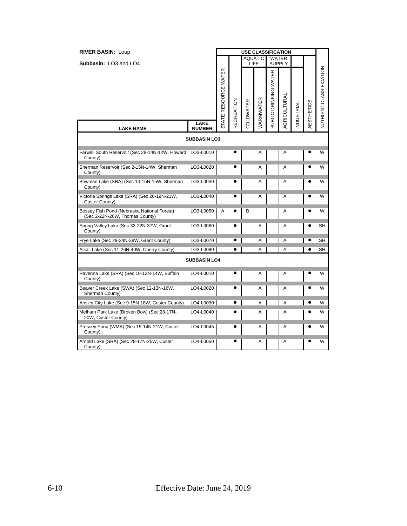| <b>RIVER BASIN: Loup</b>                                                      |                                      | <b>USE CLASSIFICATION</b> |            |           |                |                       |                               |           |            |                                |
|-------------------------------------------------------------------------------|--------------------------------------|---------------------------|------------|-----------|----------------|-----------------------|-------------------------------|-----------|------------|--------------------------------|
| Subbasin: LO3 and LO4                                                         |                                      |                           |            | LIFE      | <b>AQUATIC</b> |                       | <b>WATER</b><br><b>SUPPLY</b> |           |            |                                |
|                                                                               | <b>LAKE</b>                          | STATE RESOURCE WATER      | RECREATION | COLDWATER | WARMWATER      | PUBLIC DRINKING WATER | AGRICULTURAL                  | NDUSTRIAL | AESTHETICS | <b>NUTRIENT CLASSIFICATION</b> |
| <b>LAKE NAME</b>                                                              | <b>NUMBER</b><br><b>SUBBASIN LO3</b> |                           |            |           |                |                       |                               |           |            |                                |
|                                                                               |                                      |                           |            |           |                |                       |                               |           |            |                                |
| Farwell South Reservoir (Sec 28-14N-12W, Howard<br>County)                    | LO3-L0010                            |                           |            |           | Α              |                       | Α                             |           |            | W                              |
| Sherman Reservoir (Sec 2-15N-14W, Sherman<br>County)                          | LO3-L0020                            |                           |            |           | A              |                       | A                             |           |            | W                              |
| Bowman Lake (SRA) (Sec 13-15N-15W, Sherman<br>County)                         | LO3-L0030                            |                           | ٠          |           | Α              |                       | Α                             |           |            | W                              |
| Victoria Springs Lake (SRA) (Sec 20-19N-21W,<br>Custer County)                | LO3-L0040                            |                           |            |           | A              |                       | A                             |           |            | W                              |
| Bessey Fish Pond (Nebraska National Forest)<br>(Sec 2-22N-26W, Thomas County) | LO3-L0050                            | A                         | e          | B         |                |                       | A                             |           |            | W                              |
| Spring Valley Lake (Sec 32-22N-37W, Grant<br>County)                          | LO3-L0060                            |                           |            |           | A              |                       | A                             |           |            | SН                             |
| Frye Lake (Sec 29-24N-38W, Grant County)                                      | LO3-L0070                            |                           | e          |           | A              |                       | A                             |           |            | <b>SH</b>                      |
| Alkali Lake (Sec 11-26N-40W, Cherry County)                                   | LO3-L0090                            |                           | ٠          |           | A              |                       | A                             |           |            | SH                             |
|                                                                               | <b>SUBBASIN LO4</b>                  |                           |            |           |                |                       |                               |           |            |                                |
| Ravenna Lake (SRA) (Sec 10-12N-14W, Buffalo<br>County)                        | LO4-L0010                            |                           |            |           | Α              |                       | Α                             |           |            | W                              |
| Beaver Creek Lake (SWA) (Sec 12-13N-16W,<br>Sherman County)                   | LO4-L0020                            |                           | ٠          |           | Α              |                       | Α                             |           |            | W                              |
| Ansley City Lake (Sec 9-15N-18W, Custer County)                               | LO4-L0030                            |                           | e          |           | A              |                       | A                             |           |            | W                              |
| Melham Park Lake (Broken Bow) (Sec 28-17N-<br>20W, Custer County)             | LO4-L0040                            |                           |            |           | A              |                       | Α                             |           |            | W                              |
| Pressey Pond (WMA) (Sec 15-14N-21W, Custer<br>County)                         | LO4-L0045                            |                           |            |           | A              |                       | Α                             |           |            | W                              |
| Arnold Lake (SRA) (Sec 28-17N-25W, Custer<br>County)                          | LO4-L0050                            |                           |            |           | A              |                       | A                             |           |            | W                              |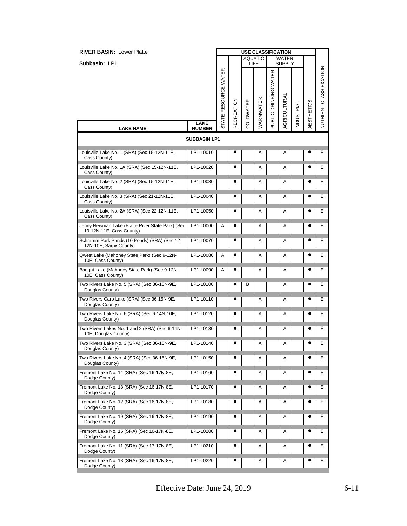| <b>RIVER BASIN: Lower Platte</b>                                             |                              |                      |                   |           |                        |                       | <b>USE CLASSIFICATION</b> |                  |                   |                                |  |
|------------------------------------------------------------------------------|------------------------------|----------------------|-------------------|-----------|------------------------|-----------------------|---------------------------|------------------|-------------------|--------------------------------|--|
| Subbasin: LP1                                                                |                              |                      |                   |           | <b>AQUATIC</b><br>LIFE |                       | WATER<br><b>SUPPLY</b>    |                  |                   |                                |  |
|                                                                              |                              | STATE RESOURCE WATER | <b>RECREATION</b> | COLDWATER | WARMWATER              | PUBLIC DRINKING WATER | AGRICULTURAL              | <b>NDUSTRIAL</b> | <b>AESTHETICS</b> | <b>NUTRIENT CLASSIFICATION</b> |  |
| <b>LAKE NAME</b>                                                             | <b>LAKE</b><br><b>NUMBER</b> |                      |                   |           |                        |                       |                           |                  |                   |                                |  |
|                                                                              | <b>SUBBASIN LP1</b>          |                      |                   |           |                        |                       |                           |                  |                   |                                |  |
| Louisville Lake No. 1 (SRA) (Sec 15-12N-11E,<br>Cass County)                 | LP1-L0010                    |                      |                   |           | Α                      |                       | A                         |                  |                   | Ε                              |  |
| Louisville Lake No. 1A (SRA) (Sec 15-12N-11E,<br>Cass County)                | LP1-L0020                    |                      |                   |           | A                      |                       | Α                         |                  |                   | Ε                              |  |
| Louisville Lake No. 2 (SRA) (Sec 15-12N-11E,<br>Cass County)                 | LP1-L0030                    |                      |                   |           | Α                      |                       | Α                         |                  |                   | Е                              |  |
| Louisville Lake No. 3 (SRA) (Sec 21-12N-11E,<br>Cass County)                 | LP1-L0040                    |                      |                   |           | Α                      |                       | Α                         |                  |                   | Ε                              |  |
| Louisville Lake No. 2A (SRA) (Sec 22-12N-11E,<br>Cass County)                | LP1-L0050                    |                      |                   |           | A                      |                       | Α                         |                  |                   | Ε                              |  |
| Jenny Newman Lake (Platte River State Park) (Sec<br>19-12N-11E, Cass County) | LP1-L0060                    | Α                    |                   |           | A                      |                       | Α                         |                  |                   | Е                              |  |
| Schramm Park Ponds (10 Ponds) (SRA) (Sec 12-<br>12N-10E, Sarpy County)       | LP1-L0070                    |                      |                   |           | Α                      |                       | Α                         |                  |                   | Е                              |  |
| Qwest Lake (Mahoney State Park) (Sec 9-12N-<br>10E, Cass County)             | LP1-L0080                    | Α                    |                   |           | Α                      |                       | Α                         |                  |                   | Е                              |  |
| Baright Lake (Mahoney State Park) (Sec 9-12N-<br>10E, Cass County)           | LP1-L0090                    | Α                    |                   |           | Α                      |                       | Α                         |                  |                   | Е                              |  |
| Two Rivers Lake No. 5 (SRA) (Sec 36-15N-9E,<br>Douglas County)               | LP1-L0100                    |                      |                   | в         |                        |                       | Α                         |                  |                   | Ε                              |  |
| Two Rivers Carp Lake (SRA) (Sec 36-15N-9E,<br>Douglas County)                | LP1-L0110                    |                      |                   |           | Α                      |                       | Α                         |                  |                   | Е                              |  |
| Two Rivers Lake No. 6 (SRA) (Sec 6-14N-10E,<br>Douglas County)               | LP1-L0120                    |                      |                   |           | Α                      |                       | Α                         |                  |                   | Е                              |  |
| Two Rivers Lakes No. 1 and 2 (SRA) (Sec 6-14N-<br>10E, Douglas County)       | LP1-L0130                    |                      |                   |           | Α                      |                       | Α                         |                  |                   | Е                              |  |
| Two Rivers Lake No. 3 (SRA) (Sec 36-15N-9E,<br>Douglas County)               | LP1-L0140                    |                      |                   |           | Α                      |                       | Α                         |                  |                   | Ε                              |  |
| Two Rivers Lake No. 4 (SRA) (Sec 36-15N-9E,<br>Douglas County)               | LP1-L0150                    |                      |                   |           | A                      |                       | Α                         |                  |                   | Ε                              |  |
| Fremont Lake No. 14 (SRA) (Sec 16-17N-8E,<br>Dodge County)                   | LP1-L0160                    |                      |                   |           | Α                      |                       | Α                         |                  |                   | Е.                             |  |
| Fremont Lake No. 13 (SRA) (Sec 16-17N-8E,<br>Dodge County)                   | LP1-L0170                    |                      |                   |           | A                      |                       | Α                         |                  |                   | Е                              |  |
| Fremont Lake No. 12 (SRA) (Sec 16-17N-8E,<br>Dodge County)                   | LP1-L0180                    |                      |                   |           | A                      |                       | Α                         |                  |                   | Ε                              |  |
| Fremont Lake No. 19 (SRA) (Sec 16-17N-8E,<br>Dodge County)                   | LP1-L0190                    |                      |                   |           | Α                      |                       | Α                         |                  |                   | E.                             |  |
| Fremont Lake No. 15 (SRA) (Sec 16-17N-8E,<br>Dodge County)                   | LP1-L0200                    |                      |                   |           | Α                      |                       | Α                         |                  |                   | Е                              |  |
| Fremont Lake No. 11 (SRA) (Sec 17-17N-8E,<br>Dodge County)                   | LP1-L0210                    |                      |                   |           | A                      |                       | Α                         |                  |                   | Ε                              |  |
| Fremont Lake No. 18 (SRA) (Sec 16-17N-8E,<br>Dodge County)                   | LP1-L0220                    |                      |                   |           | Α                      |                       | Α                         |                  |                   | E.                             |  |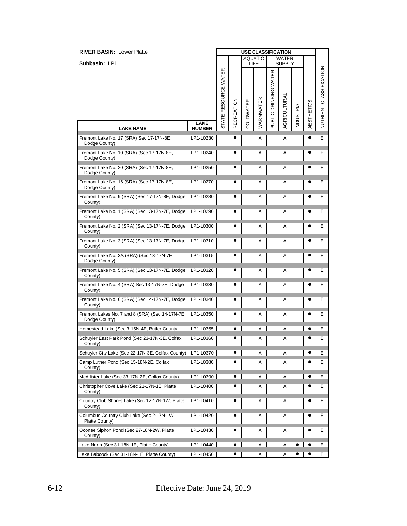| <b>RIVER BASIN: Lower Platte</b>                                 |               | <b>USE CLASSIFICATION</b><br><b>AQUATIC</b> |            |           |           |                       |                               |                  |                   |                         |
|------------------------------------------------------------------|---------------|---------------------------------------------|------------|-----------|-----------|-----------------------|-------------------------------|------------------|-------------------|-------------------------|
| Subbasin: LP1                                                    |               |                                             |            |           | LIFE      |                       | <b>WATER</b><br><b>SUPPLY</b> |                  |                   |                         |
|                                                                  | <b>LAKE</b>   | STATE RESOURCE WATER                        | RECREATION | COLDWATER | WARMWATER | PUBLIC DRINKING WATER | AGRICULTURAL                  | <b>NDUSTRIAL</b> | <b>AESTHETICS</b> | NUTRIENT CLASSIFICATION |
| <b>LAKE NAME</b>                                                 | <b>NUMBER</b> |                                             |            |           |           |                       |                               |                  |                   |                         |
| Fremont Lake No. 17 (SRA) Sec 17-17N-8E,<br>Dodge County)        | LP1-L0230     |                                             |            |           | A         |                       | Α                             |                  |                   | Е                       |
| Fremont Lake No. 10 (SRA) (Sec 17-17N-8E,<br>Dodge County)       | LP1-L0240     |                                             |            |           | A         |                       | Α                             |                  |                   | Е                       |
| Fremont Lake No. 20 (SRA) (Sec 17-17N-8E,<br>Dodge County)       | LP1-L0250     |                                             |            |           | A         |                       | Α                             |                  |                   | Е                       |
| Fremont Lake No. 16 (SRA) (Sec 17-17N-8E,<br>Dodge County)       | LP1-L0270     |                                             |            |           | A         |                       | Α                             |                  |                   | Е                       |
| Fremont Lake No. 9 (SRA) (Sec 17-17N-8E, Dodge<br>County)        | LP1-L0280     |                                             |            |           | A         |                       | Α                             |                  |                   | Е                       |
| Fremont Lake No. 1 (SRA) (Sec 13-17N-7E, Dodge<br>County)        | LP1-L0290     |                                             | e          |           | A         |                       | Α                             |                  |                   | Е                       |
| Fremont Lake No. 2 (SRA) (Sec 13-17N-7E, Dodge<br>County)        | LP1-L0300     |                                             |            |           | A         |                       | Α                             |                  |                   | Е                       |
| Fremont Lake No. 3 (SRA) (Sec 13-17N-7E, Dodge<br>County)        | LP1-L0310     |                                             |            |           | A         |                       | Α                             |                  |                   | Е                       |
| Fremont Lake No. 3A (SRA) (Sec 13-17N-7E,<br>Dodge County)       | LP1-L0315     |                                             |            |           | A         |                       | Α                             |                  |                   | Е                       |
| Fremont Lake No. 5 (SRA) (Sec 13-17N-7E, Dodge<br>County)        | LP1-L0320     |                                             |            |           | A         |                       | Α                             |                  |                   | Е                       |
| Fremont Lake No. 4 (SRA) Sec 13-17N-7E, Dodge<br>County)         | LP1-L0330     |                                             |            |           | A         |                       | Α                             |                  |                   | Е                       |
| Fremont Lake No. 6 (SRA) (Sec 14-17N-7E, Dodge<br>County)        | LP1-L0340     |                                             | $\bullet$  |           | Α         |                       | Α                             |                  | $\bullet$         | Е                       |
| Fremont Lakes No. 7 and 8 (SRA) (Sec 14-17N-7E,<br>Dodge County) | LP1-L0350     |                                             |            |           | A         |                       | Α                             |                  |                   | Е                       |
| Homestead Lake (Sec 3-15N-4E, Butler County                      | LP1-L0355     |                                             |            |           | A         |                       | A                             |                  |                   | Е                       |
| Schuyler East Park Pond (Sec 23-17N-3E, Colfax<br>County)        | LP1-L0360     |                                             |            |           | A         |                       | Α                             |                  |                   | Е                       |
| Schuyler City Lake (Sec 22-17N-3E, Colfax County)   LP1-L0370    |               |                                             |            |           | Α         |                       | Α                             |                  |                   | Е                       |
| Camp Luther Pond (Sec 15-18N-2E, Colfax<br>County)               | LP1-L0380     |                                             |            |           | Α         |                       | Α                             |                  |                   | Е                       |
| McAllister Lake (Sec 33-17N-2E, Colfax County)                   | LP1-L0390     |                                             | ٠          |           | Α         |                       | Α                             |                  |                   | E.                      |
| Christopher Cove Lake (Sec 21-17N-1E, Platte<br>County)          | LP1-L0400     |                                             |            |           | Α         |                       | Α                             |                  |                   | Е                       |
| Country Club Shores Lake (Sec 12-17N-1W, Platte<br>County)       | LP1-L0410     |                                             |            |           | A         |                       | Α                             |                  |                   | E.                      |
| Columbus Country Club Lake (Sec 2-17N-1W,<br>Platte County)      | LP1-L0420     |                                             |            |           | Α         |                       | Α                             |                  |                   | E.                      |
| Oconee Siphon Pond (Sec 27-18N-2W, Platte<br>County)             | LP1-L0430     |                                             |            |           | Α         |                       | Α                             |                  |                   | Е                       |
| Lake North (Sec 31-18N-1E, Platte County)                        | LP1-L0440     |                                             |            |           | Α         |                       | Α                             | 0                |                   | Е                       |
| Lake Babcock (Sec 31-18N-1E, Platte County)                      | LP1-L0450     |                                             |            |           | Α         |                       | Α                             |                  |                   | E.                      |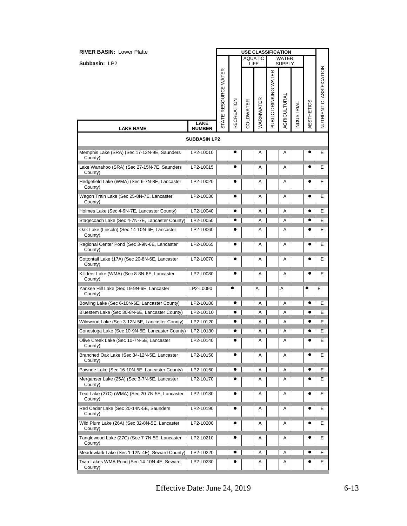| <b>RIVER BASIN: Lower Platte</b>                            |                              | <b>USE CLASSIFICATION</b> |                   |           |                        |                       |                               |                  |                   |                                |
|-------------------------------------------------------------|------------------------------|---------------------------|-------------------|-----------|------------------------|-----------------------|-------------------------------|------------------|-------------------|--------------------------------|
| Subbasin: LP2                                               |                              |                           |                   |           | <b>AQUATIC</b><br>LIFE |                       | <b>WATER</b><br><b>SUPPLY</b> |                  |                   |                                |
|                                                             |                              | STATE RESOURCE WATER      | <b>RECREATION</b> | COLDWATER | WARMWATER              | PUBLIC DRINKING WATER | AGRICULTURAL                  | <b>NDUSTRIAL</b> | <b>AESTHETICS</b> | <b>NUTRIENT CLASSIFICATION</b> |
| <b>LAKE NAME</b>                                            | <b>LAKE</b><br><b>NUMBER</b> |                           |                   |           |                        |                       |                               |                  |                   |                                |
|                                                             | <b>SUBBASIN LP2</b>          |                           |                   |           |                        |                       |                               |                  |                   |                                |
| Memphis Lake (SRA) (Sec 17-13N-9E, Saunders<br>County)      | LP2-L0010                    |                           |                   |           | Α                      |                       | Α                             |                  |                   | Е                              |
| Lake Wanahoo (SRA) (Sec 27-15N-7E, Saunders<br>County)      | LP2-L0015                    |                           |                   |           | A                      |                       | Α                             |                  |                   | Ε                              |
| Hedgefield Lake (WMA) (Sec 6-7N-8E, Lancaster<br>County)    | LP2-L0020                    |                           |                   |           | Α                      |                       | Α                             |                  |                   | Е                              |
| Wagon Train Lake (Sec 25-8N-7E, Lancaster<br>County)        | LP2-L0030                    |                           |                   |           | Α                      |                       | Α                             |                  |                   | Е                              |
| Holmes Lake (Sec 4-9N-7E, Lancaster County)                 | LP2-L0040                    |                           |                   |           | Α                      |                       | Α                             |                  |                   | Е                              |
| Stagecoach Lake (Sec 4-7N-7E, Lancaster County)             | LP2-L0050                    |                           |                   |           | Α                      |                       | Α                             |                  |                   | Е                              |
| Oak Lake (Lincoln) (Sec 14-10N-6E, Lancaster<br>County)     | LP2-L0060                    |                           |                   |           | A                      |                       | Α                             |                  |                   | Е                              |
| Regional Center Pond (Sec 3-9N-6E, Lancaster<br>County)     | LP2-L0065                    |                           |                   |           | Α                      |                       | Α                             |                  |                   | Ε                              |
| Cottontail Lake (17A) (Sec 20-8N-6E, Lancaster<br>County)   | LP2-L0070                    |                           |                   |           | Α                      |                       | Α                             |                  |                   | Е                              |
| Killdeer Lake (WMA) (Sec 8-8N-6E, Lancaster<br>County)      | LP2-L0080                    |                           |                   |           | Α                      |                       | Α                             |                  |                   | Е                              |
| Yankee Hill Lake (Sec 19-9N-6E, Lancaster<br>County)        | LP2-L0090                    |                           | $\bullet$         |           | A                      |                       | Α                             |                  | e                 | E                              |
| Bowling Lake (Sec 6-10N-6E, Lancaster County)               | LP2-L0100                    |                           | e                 |           | Α                      |                       | Α                             |                  |                   | Е                              |
| Bluestem Lake (Sec 30-8N-6E, Lancaster County)              | LP2-L0110                    |                           |                   |           | Α                      |                       | Α                             |                  |                   | Е                              |
| Wildwood Lake (Sec 3-12N-5E, Lancaster County)              | LP2-L0120                    |                           |                   |           | Α                      |                       | Α                             |                  |                   | Е                              |
| Conestoga Lake (Sec 10-9N-5E, Lancaster County)   LP2-L0130 |                              |                           |                   |           | Α                      |                       | Α                             |                  |                   | Е                              |
| Olive Creek Lake (Sec 10-7N-5E, Lancaster<br>County)        | LP2-L0140                    |                           |                   |           | Α                      |                       | Α                             |                  |                   | Е                              |
| Branched Oak Lake (Sec 34-12N-5E, Lancaster<br>County)      | LP2-L0150                    |                           |                   |           | Α                      |                       | Α                             |                  |                   | Е                              |
| Pawnee Lake (Sec 16-10N-5E, Lancaster County)               | LP2-L0160                    |                           |                   |           | Α                      |                       | Α                             |                  |                   | Е                              |
| Merganser Lake (25A) (Sec 3-7N-5E, Lancaster<br>County)     | LP2-L0170                    |                           |                   |           | A                      |                       | Α                             |                  |                   | Е                              |
| Teal Lake (27C) (WMA) (Sec 20-7N-5E, Lancaster<br>County)   | LP2-L0180                    |                           |                   |           | Α                      |                       | Α                             |                  |                   | Ε                              |
| Red Cedar Lake (Sec 20-14N-5E, Saunders<br>County)          | LP2-L0190                    |                           |                   |           | Α                      |                       | Α                             |                  |                   | E.                             |
| Wild Plum Lake (26A) (Sec 32-8N-5E, Lancaster<br>County)    | LP2-L0200                    |                           |                   |           | Α                      |                       | Α                             |                  |                   | Е                              |
| Tanglewood Lake (27C) (Sec 7-7N-5E, Lancaster<br>County)    | LP2-L0210                    |                           |                   |           | A                      |                       | A                             |                  |                   | Ε                              |
| Meadowlark Lake (Sec 1-12N-4E), Seward County)              | LP2-L0220                    |                           | $\bullet$         |           | Α                      |                       | Α                             |                  |                   | Е                              |
| Twin Lakes WMA Pond (Sec 14-10N-4E, Seward<br>County)       | LP2-L0230                    |                           |                   |           | Α                      |                       | Α                             |                  |                   | Е                              |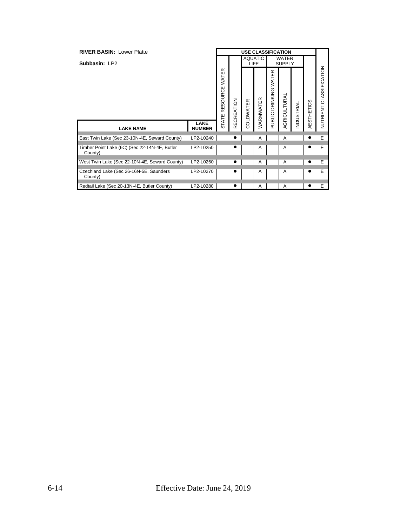| <b>RIVER BASIN: Lower Platte</b>                         |                              |                   |                   |           |                        |                | <b>USE CLASSIFICATION</b>     |                   |            |                         |
|----------------------------------------------------------|------------------------------|-------------------|-------------------|-----------|------------------------|----------------|-------------------------------|-------------------|------------|-------------------------|
| Subbasin: LP2                                            |                              |                   |                   |           | <b>AQUATIC</b><br>LIFE |                | <b>WATER</b><br><b>SUPPLY</b> |                   |            |                         |
|                                                          |                              | WATER<br>RESOURCE | <b>RECREATION</b> | COLDWATER | WARMWATER              | DRINKING WATER | AGRICULTURAL                  | <b>INDUSTRIAL</b> | AESTHETICS | NUTRIENT CLASSIFICATION |
| <b>LAKE NAME</b>                                         | <b>LAKE</b><br><b>NUMBER</b> | <b>STATE</b>      |                   |           |                        | PUBLIC         |                               |                   |            |                         |
| East Twin Lake (Sec 23-10N-4E, Seward County)            | LP2-L0240                    |                   |                   |           | A                      |                | A                             |                   |            | Ε                       |
| Timber Point Lake (6C) (Sec 22-14N-4E, Butler<br>County) | LP2-L0250                    |                   | ●                 |           | A                      |                | A                             |                   |            | Ε                       |
| West Twin Lake (Sec 22-10N-4E, Seward County)            | LP2-L0260                    |                   |                   |           | A                      |                | A                             |                   |            | Ε                       |
| Czechland Lake (Sec 26-16N-5E, Saunders<br>County)       | LP2-L0270                    |                   |                   |           | A                      |                | A                             |                   |            | Ε                       |
| Redtail Lake (Sec 20-13N-4E, Butler County)              | LP2-L0280                    |                   |                   |           | Α                      |                | A                             |                   |            | Е                       |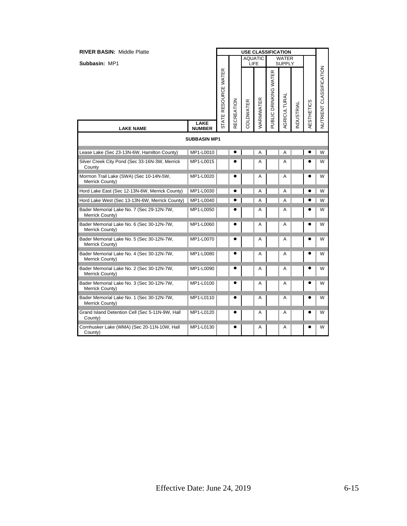| <b>RIVER BASIN: Middle Platte</b>                            |                              | <b>USE CLASSIFICATION</b> |                   |           |                        |                       |                               |           |            |                         |
|--------------------------------------------------------------|------------------------------|---------------------------|-------------------|-----------|------------------------|-----------------------|-------------------------------|-----------|------------|-------------------------|
| Subbasin: MP1                                                |                              |                           |                   |           | <b>AQUATIC</b><br>LIFE |                       | <b>WATER</b><br><b>SUPPLY</b> |           |            |                         |
|                                                              |                              | STATE RESOURCE WATER      | <b>RECREATION</b> | COLDWATER | WARMWATER              | PUBLIC DRINKING WATER | <b>AGRICULTURAL</b>           | NDUSTRIAL | AESTHETICS | NUTRIENT CLASSIFICATION |
| <b>LAKE NAME</b>                                             | <b>LAKE</b><br><b>NUMBER</b> |                           |                   |           |                        |                       |                               |           |            |                         |
|                                                              | <b>SUBBASIN MP1</b>          |                           |                   |           |                        |                       |                               |           |            |                         |
| Lease Lake (Sec 23-13N-6W, Hamilton County)                  | MP1-L0010                    |                           |                   |           | Α                      |                       | Α                             |           |            | W                       |
| Silver Creek City Pond (Sec 33-16N-3W, Merrick<br>County     | MP1-L0015                    |                           |                   |           | A                      |                       | Α                             |           |            | W                       |
| Mormon Trail Lake (SWA) (Sec 10-14N-5W,<br>Merrick County)   | MP1-L0020                    |                           |                   |           | A                      |                       | A                             |           |            | W                       |
| Hord Lake East (Sec 12-13N-6W, Merrick County)               | MP1-L0030                    |                           |                   |           | A                      |                       | A                             |           |            | W                       |
| Hord Lake West (Sec 13-13N-6W, Merrick County)               | MP1-L0040                    |                           |                   |           | A                      |                       | A                             |           |            | W                       |
| Bader Memorial Lake No. 7 (Sec 29-12N-7W,<br>Merrick County) | MP1-L0050                    |                           |                   |           | A                      |                       | A                             |           |            | W                       |
| Bader Memorial Lake No. 6 (Sec 30-12N-7W,<br>Merrick County) | MP1-L0060                    |                           |                   |           | Α                      |                       | Α                             |           |            | W                       |
| Bader Memorial Lake No. 5 (Sec 30-12N-7W,<br>Merrick County) | MP1-L0070                    |                           | ٠                 |           | A                      |                       | Α                             |           |            | W                       |
| Bader Memorial Lake No. 4 (Sec 30-12N-7W,<br>Merrick County) | MP1-L0080                    |                           |                   |           | Α                      |                       | Α                             |           |            | W                       |
| Bader Memorial Lake No. 2 (Sec 30-12N-7W,<br>Merrick County) | MP1-L0090                    |                           |                   |           | A                      |                       | A                             |           |            | W                       |
| Bader Memorial Lake No. 3 (Sec 30-12N-7W,<br>Merrick County) | MP1-L0100                    |                           |                   |           | A                      |                       | Α                             |           |            | W                       |
| Bader Memorial Lake No. 1 (Sec 30-12N-7W,<br>Merrick County) | MP1-L0110                    |                           |                   |           | Α                      |                       | Α                             |           |            | W                       |
| Grand Island Detention Cell (Sec 5-11N-9W, Hall<br>County)   | MP1-L0120                    |                           |                   |           | A                      |                       | Α                             |           |            | W                       |
| Cornhusker Lake (WMA) (Sec 20-11N-10W, Hall<br>County)       | MP1-L0130                    |                           | $\bullet$         |           | A                      |                       | Α                             |           | e          | W                       |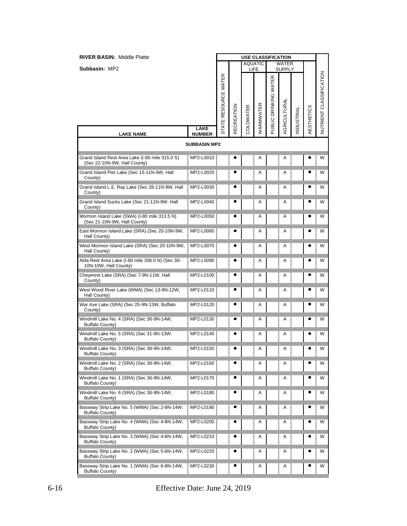| <b>RIVER BASIN: Middle Platte</b>                                               |                     | <b>USE CLASSIFICATION</b> |                   |           |                        |                       |                               |                  |            |                         |
|---------------------------------------------------------------------------------|---------------------|---------------------------|-------------------|-----------|------------------------|-----------------------|-------------------------------|------------------|------------|-------------------------|
| Subbasin: MP2                                                                   |                     |                           |                   |           | <b>AQUATIC</b><br>LIFE |                       | <b>WATER</b><br><b>SUPPLY</b> |                  |            |                         |
|                                                                                 | LAKE                | STATE RESOURCE WATER      | <b>RECREATION</b> | COLDWATER | WARMWATER              | PUBLIC DRINKING WATER | <b>AGRICULTURAL</b>           | <b>NDUSTRIAL</b> | AESTHETICS | NUTRIENT CLASSIFICATION |
| <b>LAKE NAME</b>                                                                | <b>NUMBER</b>       |                           |                   |           |                        |                       |                               |                  |            |                         |
|                                                                                 | <b>SUBBASIN MP2</b> |                           |                   |           |                        |                       |                               |                  |            |                         |
| Grand Island Rest Area Lake (I-80 mile 315.0 S)<br>(Sec 22-10N-9W, Hall County) | MP2-L0010           |                           |                   |           | Α                      |                       | Α                             |                  |            | W                       |
| Grand Island Pier Lake (Sec 15-11N-9W, Hall<br>County)                          | MP2-L0020           |                           |                   |           | Α                      |                       | Α                             |                  |            | W                       |
| Grand Island L.E. Ray Lake (Sec 28-11N-9W, Hall<br>County)                      | MP2-L0030           |                           |                   |           | Α                      |                       | Α                             |                  |            | W                       |
| Grand Island Sucks Lake (Sec 21-11N-9W, Hall<br>County)                         | MP2-L0040           |                           |                   |           | Α                      |                       | Α                             |                  |            | W                       |
| Mormon Island Lake (SWA) (I-80 mile 313.5 N)<br>(Sec 21-10N-9W, Hall County)    | MP2-L0050           |                           |                   |           | Α                      |                       | Α                             |                  |            | W                       |
| East Mormon Island Lake (SRA) (Sec 20-10N-9W,<br>Hall County)                   | MP2-L0060           |                           |                   |           | Α                      |                       | Α                             |                  | c          | W                       |
| West Mormon Island Lake (SRA) (Sec 20-10N-9W,<br>Hall County)                   | MP2-L0070           |                           |                   |           | Α                      |                       | Α                             |                  |            | W                       |
| Alda Rest Area Lake (I-80 mile 306.0 N) (Sec 30-<br>10N-10W, Hall County)       | MP2-L0090           |                           |                   |           | Α                      |                       | Α                             |                  |            | W                       |
| Cheyenne Lake (SRA) (Sec 7-9N-11W, Hall<br>County)                              | MP2-L0100           |                           |                   |           | Α                      |                       | Α                             |                  |            | W                       |
| West Wood River Lake (WMA) (Sec 13-9N-12W,<br>Hall County)                      | MP2-L0110           |                           |                   |           | Α                      |                       | Α                             |                  |            | W                       |
| War Axe Lake (SRA) (Sec 25-9N-13W, Buffalo<br>County)                           | MP2-L0120           |                           |                   |           | Α                      |                       | Α                             |                  |            | W                       |
| Windmill Lake No. 4 (SRA) (Sec 36-9N-14W,<br>Buffalo County)                    | MP2-L0130           |                           |                   |           | Α                      |                       | Α                             |                  |            | W                       |
| Windmill Lake No. 5 (SRA) (Sec 31-9N-13W,<br>Buffalo County)                    | MP2-L0140           |                           |                   |           | Α                      |                       | Α                             |                  |            | W                       |
| Windmill Lake No. 3 (SRA) (Sec 36-9N-14W,<br>Buffalo County)                    | MP2-L0150           |                           |                   |           | Α                      |                       | Α                             |                  | e          | W                       |
| Windmill Lake No. 2 (SRA) (Sec 36-9N-14W,<br>Buffalo County)                    | MP2-L0160           |                           |                   |           | Α                      |                       | A                             |                  |            | W                       |
| Windmill Lake No. 1 (SRA) (Sec 36-9N-14W,<br><b>Buffalo County)</b>             | MP2-L0170           |                           |                   |           | Α                      |                       | A                             |                  |            | W                       |
| Windmill Lake No. 6 (SRA) (Sec 36-9N-14W,<br>Buffalo County)                    | MP2-L0180           |                           |                   |           | Α                      |                       | Α                             |                  |            | W                       |
| Bassway Strip Lake No. 5 (WMA) (Sec 2-8N-14W,<br>Buffalo County)                | MP2-L0190           |                           |                   |           | Α                      |                       | Α                             |                  |            | W                       |
| Bassway Strip Lake No. 4 (WMA) (Sec 4-8N-14W,<br><b>Buffalo County)</b>         | MP2-L0200           |                           |                   |           | Α                      |                       | Α                             |                  |            | W                       |
| Bassway Strip Lake No. 3 (WMA) (Sec 4-8N-14W,<br>Buffalo County)                | MP2-L0210           |                           | e                 |           | Α                      |                       | Α                             |                  |            | W                       |
| Bassway Strip Lake No. 2 (WMA) (Sec 5-8N-14W,<br>Buffalo County)                | MP2-L0220           |                           |                   |           | Α                      |                       | Α                             |                  |            | W                       |
| Bassway Strip Lake No. 1 (WMA) (Sec 6-8N-14W,<br>Buffalo County)                | MP2-L0230           |                           |                   |           | Α                      |                       | Α                             |                  |            | W                       |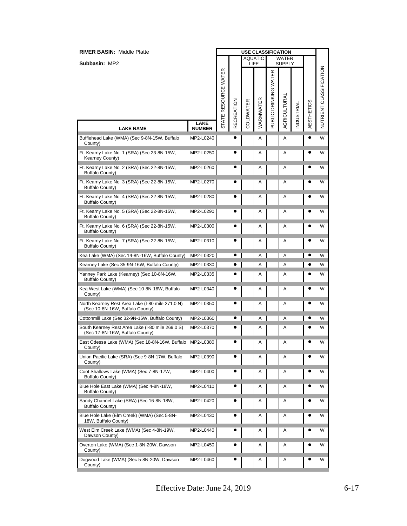| <b>RIVER BASIN: Middle Platte</b>                                                   |                              | <b>USE CLASSIFICATION</b><br><b>AQUATIC</b> |                   |           |           |                       |                               |                  |                   |                         |
|-------------------------------------------------------------------------------------|------------------------------|---------------------------------------------|-------------------|-----------|-----------|-----------------------|-------------------------------|------------------|-------------------|-------------------------|
| Subbasin: MP2                                                                       |                              |                                             |                   |           | LIFE      |                       | <b>WATER</b><br><b>SUPPLY</b> |                  |                   |                         |
|                                                                                     |                              | STATE RESOURCE WATER                        | <b>RECREATION</b> | COLDWATER | WARMWATER | PUBLIC DRINKING WATER | <b>AGRICULTURAL</b>           | <b>NDUSTRIAL</b> | <b>AESTHETICS</b> | NUTRIENT CLASSIFICATION |
| <b>LAKE NAME</b>                                                                    | <b>LAKE</b><br><b>NUMBER</b> |                                             |                   |           |           |                       |                               |                  |                   |                         |
| Bufflehead Lake (WMA) (Sec 9-8N-15W, Buffalo<br>County)                             | MP2-L0240                    |                                             |                   |           | Α         |                       | Α                             |                  |                   | W                       |
| Ft. Kearny Lake No. 1 (SRA) (Sec 23-8N-15W,<br>Kearney County)                      | MP2-L0250                    |                                             |                   |           | Α         |                       | Α                             |                  |                   | W                       |
| Ft. Kearny Lake No. 2 (SRA) (Sec 22-8N-15W,<br>Buffalo County)                      | MP2-L0260                    |                                             |                   |           | Α         |                       | A                             |                  |                   | W                       |
| Ft. Kearny Lake No. 3 (SRA) (Sec 22-8N-15W,<br>Buffalo County)                      | MP2-L0270                    |                                             |                   |           | Α         |                       | Α                             |                  |                   | W                       |
| Ft. Kearny Lake No. 4 (SRA) (Sec 22-8N-15W,<br><b>Buffalo County)</b>               | MP2-L0280                    |                                             |                   |           | Α         |                       | Α                             |                  |                   | W                       |
| Ft. Kearny Lake No. 5 (SRA) (Sec 22-8N-15W,<br><b>Buffalo County)</b>               | MP2-L0290                    |                                             |                   |           | Α         |                       | Α                             |                  |                   | W                       |
| Ft. Kearny Lake No. 6 (SRA) (Sec 22-8N-15W,<br><b>Buffalo County)</b>               | MP2-L0300                    |                                             |                   |           | Α         |                       | Α                             |                  |                   | W                       |
| Ft. Kearny Lake No. 7 (SRA) (Sec 22-8N-15W,<br><b>Buffalo County)</b>               | MP2-L0310                    |                                             |                   |           | Α         |                       | Α                             |                  |                   | W                       |
| Kea Lake (WMA) (Sec 14-8N-16W, Buffalo County)                                      | MP2-L0320                    |                                             |                   |           | Α         |                       | Α                             |                  |                   | W                       |
| Kearney Lake (Sec 35-9N-16W, Buffalo County)                                        | MP2-L0330                    |                                             |                   |           | Α         |                       | Α                             |                  |                   | W                       |
| Yanney Park Lake (Kearney) (Sec 10-8N-16W,<br><b>Buffalo County)</b>                | MP2-L0335                    |                                             |                   |           | Α         |                       | Α                             |                  |                   | W                       |
| Kea West Lake (WMA) (Sec 10-8N-16W, Buffalo<br>County)                              | MP2-L0340                    |                                             |                   |           | Α         |                       | Α                             |                  |                   | W                       |
| North Kearney Rest Area Lake (I-80 mile 271.0 N)<br>(Sec 10-8N-16W, Buffalo County) | MP2-L0350                    |                                             |                   |           | Α         |                       | Α                             |                  | $\bullet$         | W                       |
| Cottonmill Lake (Sec 32-9N-16W, Buffalo County)                                     | MP2-L0360                    |                                             |                   |           | A         |                       | A                             |                  |                   | W                       |
| South Kearney Rest Area Lake (I-80 mile 269.0 S)<br>(Sec 17-8N-16W, Buffalo County) | MP2-L0370                    |                                             |                   |           | Α         |                       | Α                             |                  | e                 | W                       |
| East Odessa Lake (WMA) (Sec 18-8N-16W, Buffalo   MP2-L0380<br>County)               |                              |                                             |                   |           | A         |                       | Α                             |                  |                   | W                       |
| Union Pacific Lake (SRA) (Sec 9-8N-17W, Buffalo<br>County)                          | MP2-L0390                    |                                             |                   |           | Α         |                       | Α                             |                  |                   | W                       |
| Coot Shallows Lake (WMA) (Sec 7-8N-17W,<br><b>Buffalo County)</b>                   | MP2-L0400                    |                                             | 0                 |           | Α         |                       | Α                             |                  |                   | W                       |
| Blue Hole East Lake (WMA) (Sec 4-8N-18W,<br>Buffalo County)                         | MP2-L0410                    |                                             |                   |           | Α         |                       | Α                             |                  |                   | W                       |
| Sandy Channel Lake (SRA) (Sec 16-8N-18W,<br>Buffalo County)                         | MP2-L0420                    |                                             |                   |           | Α         |                       | Α                             |                  |                   | W                       |
| Blue Hole Lake (Elm Creek) (WMA) (Sec 5-8N-<br>18W, Buffalo County)                 | MP2-L0430                    |                                             |                   |           | Α         |                       | A                             |                  |                   | W                       |
| West Elm Creek Lake (WMA) (Sec 4-8N-19W,<br>Dawson County)                          | MP2-L0440                    |                                             |                   |           | Α         |                       | Α                             |                  |                   | W                       |
| Overton Lake (WMA) (Sec 1-8N-20W, Dawson<br>County)                                 | MP2-L0450                    |                                             |                   |           | Α         |                       | Α                             |                  | c                 | W                       |
| Dogwood Lake (WMA) (Sec 5-8N-20W, Dawson<br>County)                                 | MP2-L0460                    |                                             |                   |           | Α         |                       | Α                             |                  |                   | W                       |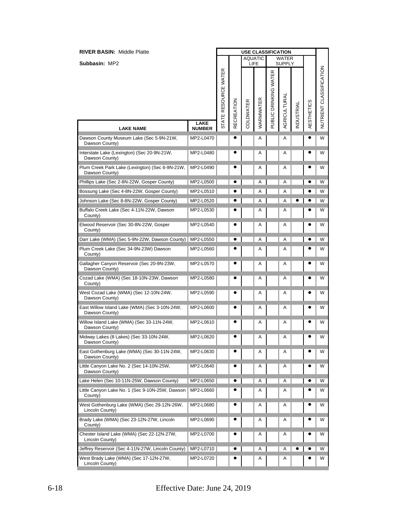| <b>RIVER BASIN: Middle Platte</b>                                 |               | <b>USE CLASSIFICATION</b><br><b>AQUATIC</b><br><b>WATER</b> |                   |           |           |                       |               |           |                   |                         |
|-------------------------------------------------------------------|---------------|-------------------------------------------------------------|-------------------|-----------|-----------|-----------------------|---------------|-----------|-------------------|-------------------------|
| Subbasin: MP2                                                     |               |                                                             |                   |           | LIFE      |                       | <b>SUPPLY</b> |           |                   |                         |
|                                                                   | <b>LAKE</b>   | STATE RESOURCE WATER                                        | <b>RECREATION</b> | COLDWATER | WARMWATER | PUBLIC DRINKING WATER | AGRICULTURAI  | NDUSTRIAL | <b>AESTHETICS</b> | NUTRIENT CLASSIFICATION |
| <b>LAKE NAME</b>                                                  | <b>NUMBER</b> |                                                             |                   |           |           |                       |               |           |                   |                         |
| Dawson County Museum Lake (Sec 5-9N-21W,<br>Dawson County)        | MP2-L0470     |                                                             |                   |           | Α         |                       | Α             |           |                   | W                       |
| Interstate Lake (Lexington) (Sec 20-9N-21W,<br>Dawson County)     | MP2-L0480     |                                                             |                   |           | Α         |                       | Α             |           |                   | W                       |
| Plum Creek Park Lake (Lexington) (Sec 6-9N-21W,<br>Dawson County) | MP2-L0490     |                                                             |                   |           | Α         |                       | Α             |           |                   | W                       |
| Phillips Lake (Sec 2-8N-22W, Gosper County)                       | MP2-L0500     |                                                             | $\bullet$         |           | Α         |                       | A             |           |                   | W                       |
| Bossung Lake (Sec 4-8N-22W, Gosper County)                        | MP2-L0510     |                                                             |                   |           | Α         |                       | A             |           |                   | W                       |
| Johnson Lake (Sec 8-8N-22W, Gosper County)                        | MP2-L0520     |                                                             | e                 |           | Α         |                       | Α             |           |                   | W                       |
| Buffalo Creek Lake (Sec 4-11N-22W, Dawson<br>County)              | MP2-L0530     |                                                             |                   |           | Α         |                       | Α             |           |                   | W                       |
| Elwood Reservoir (Sec 30-8N-22W, Gosper<br>County)                | MP2-L0540     |                                                             |                   |           | A         |                       | Α             |           |                   | W                       |
| Darr Lake (WMA) (Sec 5-9N-22W, Dawson County)                     | MP2-L0550     |                                                             |                   |           | Α         |                       | Α             |           |                   | W                       |
| Plum Creek Lake (Sec 34-9N-23W) Dawson<br>County)                 | MP2-L0560     |                                                             |                   |           | Α         |                       | Α             |           |                   | W                       |
| Gallagher Canyon Reservoir (Sec 20-9N-23W,<br>Dawson County)      | MP2-L0570     |                                                             |                   |           | Α         |                       | A             |           |                   | W                       |
| Cozad Lake (WMA) (Sec 18-10N-23W, Dawson<br>County)               | MP2-L0580     |                                                             |                   |           | Α         |                       | Α             |           |                   | W                       |
| West Cozad Lake (WMA) (Sec 12-10N-24W,<br>Dawson County)          | MP2-L0590     |                                                             |                   |           | Α         |                       | Α             |           |                   | W                       |
| East Willow Island Lake (WMA) (Sec 3-10N-24W,<br>Dawson County)   | MP2-L0600     |                                                             |                   |           | A         |                       | Α             |           | e                 | W                       |
| Willow Island Lake (WMA) (Sec 33-11N-24W,<br>Dawson County)       | MP2-L0610     |                                                             |                   |           | Α         |                       | Α             |           |                   | W                       |
| Midway Lakes (8 Lakes) (Sec 33-10N-24W,<br>Dawson County)         | MP2-L0620     |                                                             |                   |           | Α         |                       | A             |           |                   | W                       |
| East Gothenburg Lake (WMA) (Sec 30-11N-24W,<br>Dawson County)     | MP2-L0630     |                                                             |                   |           | Α         |                       | Α             |           |                   | W                       |
| Little Canyon Lake No. 2 (Sec 14-10N-25W,<br>Dawson County)       | MP2-L0640     |                                                             |                   |           | Α         |                       | Α             |           |                   | W                       |
| Lake Helen (Sec 10-11N-25W, Dawson County)                        | MP2-L0650     |                                                             |                   |           | Α         |                       | Α             |           |                   | W                       |
| Little Canyon Lake No. 1 (Sec 9-10N-25W, Dawson<br>County)        | MP2-L0660     |                                                             |                   |           | Α         |                       | A             |           |                   | W                       |
| West Gothenburg Lake (WMA) (Sec 29-12N-26W,<br>Lincoln County)    | MP2-L0680     |                                                             |                   |           | Α         |                       | Α             |           |                   | W                       |
| Brady Lake (WMA) (Sec 23-12N-27W, Lincoln<br>County)              | MP2-L0690     |                                                             |                   |           | Α         |                       | Α             |           |                   | W                       |
| Chester Island Lake (WMA) (Sec 22-12N-27W,<br>Lincoln County)     | MP2-L0700     |                                                             |                   |           | Α         |                       | Α             |           |                   | W                       |
| Jeffrey Reservoir (Sec 4-11N-27W, Lincoln County)                 | MP2-L0710     |                                                             |                   |           | Α         |                       | Α             |           |                   | W                       |
| West Brady Lake (WMA) (Sec 17-12N-27W,<br>Lincoln County)         | MP2-L0720     |                                                             |                   |           | Α         |                       | Α             |           |                   | W                       |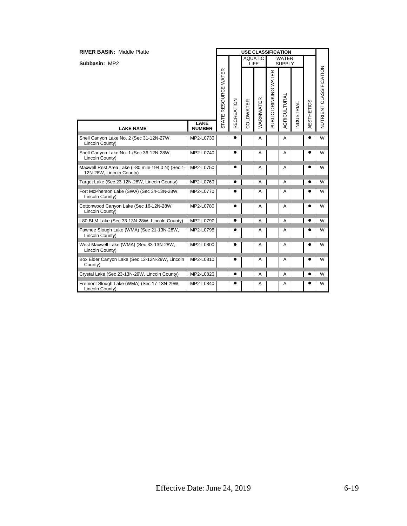| <b>RIVER BASIN: Middle Platte</b>                                              |                              | <b>USE CLASSIFICATION</b> |                   |                  |                |                       |                        |           |                   |                         |
|--------------------------------------------------------------------------------|------------------------------|---------------------------|-------------------|------------------|----------------|-----------------------|------------------------|-----------|-------------------|-------------------------|
| Subbasin: MP2                                                                  |                              |                           |                   | <b>AQUATIC</b>   | LIFE           |                       | WATER<br><b>SUPPLY</b> |           |                   |                         |
|                                                                                |                              | STATE RESOURCE WATER      | <b>RECREATION</b> | <b>COLDWATER</b> | WARMWATER      | PUBLIC DRINKING WATER | AGRICULTURAL           | NDUSTRIAL | <b>AESTHETICS</b> | NUTRIENT CLASSIFICATION |
| <b>LAKE NAME</b>                                                               | <b>LAKE</b><br><b>NUMBER</b> |                           |                   |                  |                |                       |                        |           |                   |                         |
| Snell Canyon Lake No. 2 (Sec 31-12N-27W,<br>Lincoln County)                    | MP2-L0730                    |                           | 6                 |                  | A              |                       | A                      |           |                   | W                       |
| Snell Canyon Lake No. 1 (Sec 36-12N-28W,<br>Lincoln County)                    | MP2-L0740                    |                           |                   |                  | A              |                       | А                      |           |                   | W                       |
| Maxwell Rest Area Lake (I-80 mile 194.0 N) (Sec 1-<br>12N-28W, Lincoln County) | MP2-L0750                    |                           | e                 |                  | A              |                       | Α                      |           |                   | W                       |
| Target Lake (Sec 23-12N-28W, Lincoln County)                                   | MP2-L0760                    |                           |                   |                  | $\overline{A}$ |                       | Α                      |           |                   | W                       |
| Fort McPherson Lake (SWA) (Sec 34-13N-28W,<br>Lincoln County)                  | MP2-L0770                    |                           |                   |                  | A              |                       | Α                      |           |                   | W                       |
| Cottonwood Canyon Lake (Sec 16-12N-28W,<br>Lincoln County)                     | MP2-L0780                    |                           |                   |                  | A              |                       | Α                      |           |                   | W                       |
| I-80 BLM Lake (Sec 33-13N-28W, Lincoln County)                                 | MP2-L0790                    |                           |                   |                  | $\overline{A}$ |                       | A                      |           |                   | W                       |
| Pawnee Slough Lake (WMA) (Sec 21-13N-28W,<br>Lincoln County)                   | MP2-L0795                    |                           |                   |                  | A              |                       | Α                      |           |                   | W                       |
| West Maxwell Lake (WMA) (Sec 33-13N-28W,<br>Lincoln County)                    | MP2-L0800                    |                           |                   |                  | A              |                       | Α                      |           |                   | W                       |
| Box Elder Canyon Lake (Sec 12-12N-29W, Lincoln<br>County)                      | MP2-L0810                    |                           |                   |                  | A              |                       | Α                      |           |                   | W                       |
| Crystal Lake (Sec 23-13N-29W, Lincoln County)                                  | MP2-L0820                    |                           |                   |                  | A              |                       | Α                      |           |                   | W                       |
| Fremont Slough Lake (WMA) (Sec 17-13N-29W,<br>Lincoln County)                  | MP2-L0840                    |                           |                   |                  | A              |                       | Α                      |           |                   | W                       |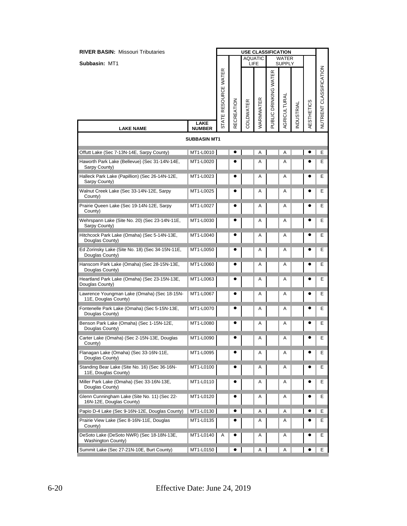| <b>RIVER BASIN: Missouri Tributaries</b>                                 |                     |                      |                   |           | <b>USE CLASSIFICATION</b> |                       |                        |           |            |                         |
|--------------------------------------------------------------------------|---------------------|----------------------|-------------------|-----------|---------------------------|-----------------------|------------------------|-----------|------------|-------------------------|
| Subbasin: MT1                                                            |                     |                      |                   |           | <b>AQUATIC</b><br>LIFE    |                       | WATER<br><b>SUPPLY</b> |           |            |                         |
|                                                                          | LAKE                | STATE RESOURCE WATER | <b>RECREATION</b> | COLDWATER | WARMWATER                 | PUBLIC DRINKING WATER | AGRICULTURAI           | NDUSTRIAL | AESTHETICS | NUTRIENT CLASSIFICATION |
| <b>LAKE NAME</b>                                                         | <b>NUMBER</b>       |                      |                   |           |                           |                       |                        |           |            |                         |
|                                                                          | <b>SUBBASIN MT1</b> |                      |                   |           |                           |                       |                        |           |            |                         |
| Offutt Lake (Sec 7-13N-14E, Sarpy County)                                | MT1-L0010           |                      |                   |           | Α                         |                       | Α                      |           |            | E                       |
| Haworth Park Lake (Bellevue) (Sec 31-14N-14E,<br>Sarpy County)           | MT1-L0020           |                      |                   |           | A                         |                       | Α                      |           |            | E.                      |
| Halleck Park Lake (Papillion) (Sec 26-14N-12E,<br>Sarpy County)          | MT1-L0023           |                      |                   |           | Α                         |                       | Α                      |           |            | Е                       |
| Walnut Creek Lake (Sec 33-14N-12E, Sarpy<br>County)                      | MT1-L0025           |                      |                   |           | A                         |                       | Α                      |           |            | Ε                       |
| Prairie Queen Lake (Sec 19-14N-12E, Sarpy<br>County)                     | MT1-L0027           |                      |                   |           | A                         |                       | A                      |           |            | Е                       |
| Wehrspann Lake (Site No. 20) (Sec 23-14N-11E,<br>Sarpy County)           | MT1-L0030           |                      |                   |           | A                         |                       | Α                      |           |            | Е                       |
| Hitchcock Park Lake (Omaha) (Sec 5-14N-13E,<br>Douglas County)           | MT1-L0040           |                      |                   |           | Α                         |                       | Α                      |           |            | Ε                       |
| Ed Zorinsky Lake (Site No. 18) (Sec 34-15N-11E,<br>Douglas County)       | MT1-L0050           |                      |                   |           | A                         |                       | Α                      |           | e          | Е                       |
| Hanscom Park Lake (Omaha) (Sec 28-15N-13E,<br>Douglas County)            | MT1-L0060           |                      |                   |           | Α                         |                       | Α                      |           |            | Е                       |
| Heartland Park Lake (Omaha) (Sec 23-15N-13E,<br>Douglas County)          | MT1-L0063           |                      |                   |           | Α                         |                       | Α                      |           |            | Ε                       |
| Lawrence Youngman Lake (Omaha) (Sec 18-15N-<br>11E, Douglas County)      | MT1-L0067           |                      |                   |           | A                         |                       | Α                      |           |            | Е                       |
| Fontenelle Park Lake (Omaha) (Sec 5-15N-13E,<br>Douglas County)          | MT1-L0070           |                      |                   |           | A                         |                       | Α                      |           |            | Е                       |
| Benson Park Lake (Omaha) (Sec 1-15N-12E,<br>Douglas County)              | MT1-L0080           |                      |                   |           | A                         |                       | Α                      |           |            | E.                      |
| Carter Lake (Omaha) (Sec 2-15N-13E, Douglas<br>County)                   | MT1-L0090           |                      |                   |           | A                         |                       | Α                      |           |            | Е                       |
| Flanagan Lake (Omaha) (Sec 33-16N-11E,<br>Douglas County)                | MT1-L0095           |                      |                   |           | Α                         |                       | Α                      |           |            | Е                       |
| Standing Bear Lake (Site No. 16) (Sec 36-16N-<br>11E, Douglas County)    | MT1-L0100           |                      | c                 |           | Α                         |                       | Α                      |           |            | E.                      |
| Miller Park Lake (Omaha) (Sec 33-16N-13E,<br>Douglas County)             | MT1-L0110           |                      |                   |           | Α                         |                       | Α                      |           |            | Е                       |
| Glenn Cunningham Lake (Site No. 11) (Sec 22-<br>16N-12E, Douglas County) | MT1-L0120           |                      |                   |           | Α                         |                       | A                      |           |            | Е                       |
| Papio D-4 Lake (Sec 9-16N-12E, Douglas County)                           | MT1-L0130           |                      | ٠                 |           | Α                         |                       | Α                      |           |            | Е                       |
| Prairie View Lake (Sec 8-16N-11E, Douglas<br>County)                     | MT1-L0135           |                      |                   |           | Α                         |                       | Α                      |           |            | Е                       |
| DeSoto Lake (DeSoto NWR) (Sec 18-18N-13E,<br>Washington County)          | MT1-L0140           | Α                    |                   |           | Α                         |                       | Α                      |           |            | Е                       |
| Summit Lake (Sec 27-21N-10E, Burt County)                                | MT1-L0150           |                      |                   |           | Α                         |                       | Α                      |           |            | Е                       |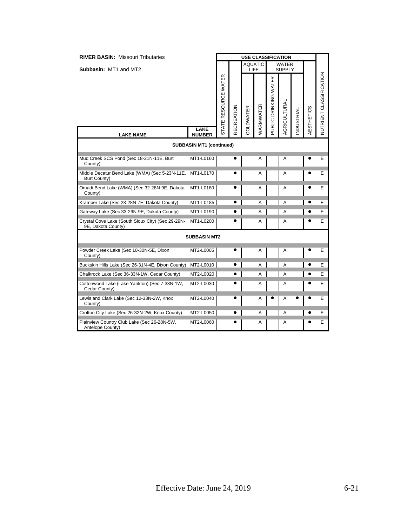| <b>RIVER BASIN: Missouri Tributaries</b>                                |                                 | <b>USE CLASSIFICATION</b>      |            |                  |                        |                       |                        |                  |            |                         |
|-------------------------------------------------------------------------|---------------------------------|--------------------------------|------------|------------------|------------------------|-----------------------|------------------------|------------------|------------|-------------------------|
| Subbasin: MT1 and MT2                                                   |                                 |                                |            |                  | <b>AQUATIC</b><br>LIFE |                       | WATER<br><b>SUPPLY</b> |                  |            |                         |
|                                                                         | LAKE                            | RESOURCE WATER<br><b>STATE</b> | RECREATION | <b>COLDWATER</b> | WARMWATER              | PUBLIC DRINKING WATER | AGRICULTURAL           | <b>NDUSTRIAL</b> | AESTHETICS | NUTRIENT CLASSIFICATION |
| <b>LAKE NAME</b>                                                        | <b>NUMBER</b>                   |                                |            |                  |                        |                       |                        |                  |            |                         |
|                                                                         | <b>SUBBASIN MT1 (continued)</b> |                                |            |                  |                        |                       |                        |                  |            |                         |
| Mud Creek SCS Pond (Sec 18-21N-11E, Burt<br>County)                     | MT1-L0160                       |                                | e          |                  | A                      |                       | Α                      |                  |            | E                       |
| Middle Decatur Bend Lake (WMA) (Sec 5-23N-11E,<br>Burt County)          | MT1-L0170                       |                                |            |                  | A                      |                       | Α                      |                  |            | Е                       |
| Omadi Bend Lake (WMA) (Sec 32-28N-9E, Dakota<br>County)                 | MT1-L0180                       |                                |            |                  | A                      |                       | Α                      |                  |            | Е                       |
| Kramper Lake (Sec 23-28N-7E, Dakota County)                             | MT1-L0185                       |                                | ٠          |                  | A                      |                       | Α                      |                  |            | E                       |
| Gateway Lake (Sec 33-29N-9E, Dakota County)                             | MT1-L0190                       |                                |            |                  | A                      |                       | A                      |                  |            | Е                       |
| Crystal Cove Lake (South Sioux City) (Sec 29-29N-<br>9E, Dakota County) | MT1-L0200                       |                                |            |                  | A                      |                       | Α                      |                  |            | Е                       |
|                                                                         | <b>SUBBASIN MT2</b>             |                                |            |                  |                        |                       |                        |                  |            |                         |
| Powder Creek Lake (Sec 10-30N-5E, Dixon<br>County)                      | MT2-L0005                       |                                |            |                  | Α                      |                       | Α                      |                  |            | Ε                       |
| Buckskin Hills Lake (Sec 26-31N-4E, Dixon County)                       | MT2-L0010                       |                                |            |                  | A                      |                       | A                      |                  |            | Е                       |
| Chalkrock Lake (Sec 36-33N-1W, Cedar County)                            | MT2-L0020                       |                                | e          |                  | Α                      |                       | Α                      |                  |            | Е                       |
| Cottonwood Lake (Lake Yankton) (Sec 7-33N-1W,<br>Cedar County)          | MT2-L0030                       |                                |            |                  | A                      |                       | А                      |                  |            | E                       |
| Lewis and Clark Lake (Sec 12-33N-2W, Knox<br>County)                    | MT2-L0040                       |                                |            |                  | A                      |                       | Α                      |                  |            | E                       |
| Crofton City Lake (Sec 26-32N-2W, Knox County)                          | MT2-L0050                       |                                |            |                  | A                      |                       | A                      |                  |            | Е                       |
| Plainview Country Club Lake (Sec 26-28N-5W,<br>Antelope County)         | MT2-L0060                       |                                |            |                  | Α                      |                       | Α                      |                  |            | Е                       |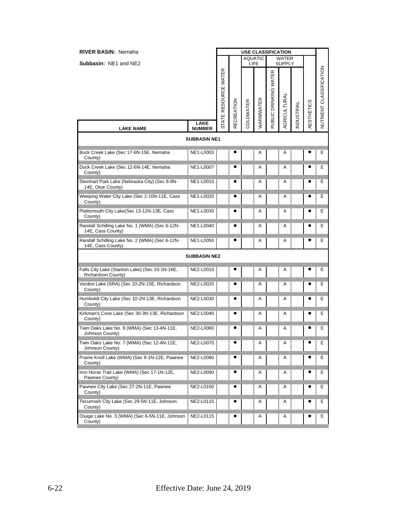| <b>RIVER BASIN: Nemaha</b>                                           |                     |                      |                   |           |                        |                       | <b>USE CLASSIFICATION</b>     |                  |                   |                         |
|----------------------------------------------------------------------|---------------------|----------------------|-------------------|-----------|------------------------|-----------------------|-------------------------------|------------------|-------------------|-------------------------|
| <b>Subbasin: NE1 and NE2</b>                                         |                     |                      |                   |           | <b>AQUATIC</b><br>LIFE |                       | <b>WATER</b><br><b>SUPPLY</b> |                  |                   |                         |
|                                                                      | <b>LAKE</b>         | STATE RESOURCE WATER | <b>RECREATION</b> | COLDWATER | WARMWATER              | PUBLIC DRINKING WATER | AGRICULTURAL                  | <b>NDUSTRIAL</b> | <b>AESTHETICS</b> | NUTRIENT CLASSIFICATION |
| <b>LAKE NAME</b>                                                     | <b>NUMBER</b>       |                      |                   |           |                        |                       |                               |                  |                   |                         |
|                                                                      | <b>SUBBASIN NE1</b> |                      |                   |           |                        |                       |                               |                  |                   |                         |
| Buck Creek Lake (Sec 17-6N-15E, Nemaha<br>County)                    | NE1-L0003           |                      |                   |           | A                      |                       | Α                             |                  |                   | Е                       |
| Duck Creek Lake (Sec 12-6N-14E, Nemaha<br>County)                    | NE1-L0007           |                      |                   |           | A                      |                       | Α                             |                  |                   | Е                       |
| Steinhart Park Lake (Nebraska City) (Sec 8-8N-<br>14E, Otoe County)  | NE1-L0010           |                      |                   |           | Α                      |                       | Α                             |                  |                   | Е                       |
| Weeping Water City Lake (Sec 2-10N-11E, Cass<br>County)              | NE1-L0020           |                      |                   |           | Α                      |                       | Α                             |                  |                   | Е                       |
| Plattsmouth City Lake(Sec 13-12N-13E, Cass<br>County)                | NE1-L0030           |                      |                   |           | A                      |                       | Α                             |                  |                   | Ε                       |
| Randall Schilling Lake No. 1 (WMA) (Sec 6-12N-<br>14E, Cass County)  | NE1-L0040           |                      |                   |           | Α                      |                       | Α                             |                  |                   | E.                      |
| Randall Schilling Lake No. 2 (WMA) (Sec 6-12N-<br>14E, Cass County)  | NE1-L0050           |                      |                   |           | Α                      |                       | Α                             |                  | e                 | Е                       |
|                                                                      | <b>SUBBASIN NE2</b> |                      |                   |           |                        |                       |                               |                  |                   |                         |
| Falls City Lake (Stanton Lake) (Sec 10-1N-16E,<br>Richardson County) | NE2-L0010           |                      | e                 |           | Α                      |                       | Α                             |                  |                   | Е                       |
| Verdon Lake (SRA) (Sec 10-2N-15E, Richardson<br>County)              | NE2-L0020           |                      |                   |           | A                      |                       | Α                             |                  |                   | Е                       |
| Humboldt City Lake (Sec 10-2N-13E, Richardson<br>County)             | NE2-L0030           |                      |                   |           | A                      |                       | Α                             |                  |                   | Ε                       |
| Kirkman's Cove Lake (Sec 30-3N-13E, Richardson<br>County)            | NE2-L0040           |                      |                   |           | Α                      |                       | Α                             |                  |                   | Е                       |
| Twin Oaks Lake No. 9 (WMA) (Sec 13-4N-11E,<br>Johnson County)        | NE2-L0060           |                      |                   |           | Α                      |                       | Α                             |                  | 0                 | Е                       |
| Twin Oaks Lake No. 7 (WMA) (Sec 12-4N-11E,<br>Johnson County)        | NE2-L0070           |                      |                   |           | A                      |                       | Α                             |                  |                   | Е                       |
| Prairie Knoll Lake (WMA) (Sec 9-1N-12E, Pawnee<br>County)            | NE2-L0080           |                      |                   |           | A                      |                       | Α                             |                  |                   | Е                       |
| Iron Horse Trail Lake (WMA) (Sec 17-1N-12E,<br>Pawnee County)        | NE2-L0090           |                      |                   |           | Α                      |                       | Α                             |                  |                   | E.                      |
| Pawnee City Lake (Sec 27-2N-11E, Pawnee<br>County)                   | NE2-L0100           |                      |                   |           | Α                      |                       | Α                             |                  |                   | Е                       |
| Tecumseh City Lake (Sec 29-5N-11E, Johnson<br>County)                | NE2-L0110           |                      |                   |           | Α                      |                       | Α                             |                  |                   | Е                       |
| Osage Lake No. 3 (WMA) (Sec 6-5N-11E, Johnson<br>County)             | NE2-L0115           |                      |                   |           | Α                      |                       | Α                             |                  |                   | Е                       |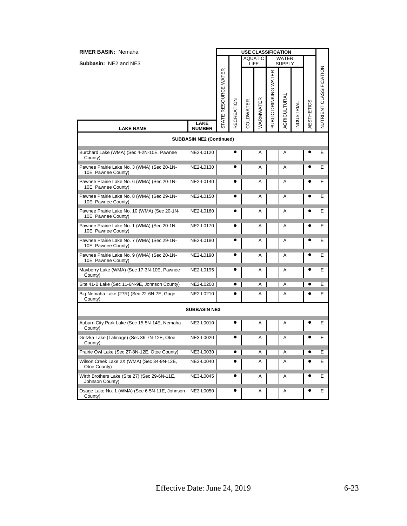| <b>RIVER BASIN: Nemaha</b>                                          |                                                  |                      |                   | <b>USE CLASSIFICATION</b> |           |                       |                        |                  |                   |                         |
|---------------------------------------------------------------------|--------------------------------------------------|----------------------|-------------------|---------------------------|-----------|-----------------------|------------------------|------------------|-------------------|-------------------------|
| <b>Subbasin: NE2 and NE3</b>                                        |                                                  |                      |                   | <b>AQUATIC</b><br>LIFE    |           |                       | WATER<br><b>SUPPLY</b> |                  |                   |                         |
|                                                                     | <b>LAKE</b>                                      | STATE RESOURCE WATER | <b>RECREATION</b> | COLDWATER                 | WARMWATER | PUBLIC DRINKING WATER | AGRICULTURAL           | <b>NDUSTRIAL</b> | <b>AESTHETICS</b> | NUTRIENT CLASSIFICATION |
| <b>LAKE NAME</b>                                                    | <b>NUMBER</b><br><b>SUBBASIN NE2 (Continued)</b> |                      |                   |                           |           |                       |                        |                  |                   |                         |
|                                                                     |                                                  |                      |                   |                           |           |                       |                        |                  |                   |                         |
| Burchard Lake (WMA) (Sec 4-2N-10E, Pawnee<br>County)                | NE2-L0120                                        |                      |                   |                           | Α         |                       | Α                      |                  |                   | Ε                       |
| Pawnee Prairie Lake No. 3 (WMA) (Sec 20-1N-<br>10E, Pawnee County)  | NE2-L0130                                        |                      |                   |                           | A         |                       | Α                      |                  |                   | Ε                       |
| Pawnee Prairie Lake No. 6 (WMA) (Sec 20-1N-<br>10E, Pawnee County)  | NE2-L0140                                        |                      |                   |                           | Α         |                       | Α                      |                  |                   | Е                       |
| Pawnee Prairie Lake No. 8 (WMA) (Sec 29-1N-<br>10E, Pawnee County)  | NE2-L0150                                        |                      |                   |                           | Α         |                       | Α                      |                  |                   | Е                       |
| Pawnee Prairie Lake No. 10 (WMA) (Sec 20-1N-<br>10E, Pawnee County) | NE2-L0160                                        |                      |                   |                           | A         |                       | Α                      |                  |                   | Е                       |
| Pawnee Prairie Lake No. 1 (WMA) (Sec 20-1N-<br>10E, Pawnee County)  | NE2-L0170                                        |                      |                   |                           | A         |                       | Α                      |                  |                   | Е                       |
| Pawnee Prairie Lake No. 7 (WMA) (Sec 29-1N-<br>10E, Pawnee County)  | NE2-L0180                                        |                      |                   |                           | Α         |                       | Α                      |                  |                   | Е                       |
| Pawnee Prairie Lake No. 9 (WMA) (Sec 20-1N-<br>10E, Pawnee County)  | NE2-L0190                                        |                      |                   |                           | Α         |                       | Α                      |                  |                   | Е                       |
| Mayberry Lake (WMA) (Sec 17-3N-10E, Pawnee<br>County)               | NE2-L0195                                        |                      |                   |                           | Α         |                       | Α                      |                  |                   | Е                       |
| Site 41-B Lake (Sec 11-6N-9E, Johnson County)                       | NE2-L0200                                        |                      |                   |                           | Α         |                       | Α                      |                  |                   | Е                       |
| Big Nemaha Lake (27R) (Sec 22-6N-7E, Gage<br>County)                | NE2-L0210                                        |                      |                   |                           | Α         |                       | Α                      |                  |                   | Е                       |
|                                                                     | <b>SUBBASIN NE3</b>                              |                      |                   |                           |           |                       |                        |                  |                   |                         |
| Auburn City Park Lake (Sec 15-5N-14E, Nemaha<br>County)             | NE3-L0010                                        |                      |                   |                           | Α         |                       | Α                      |                  |                   | Е                       |
| Gritzka Lake (Talmage) (Sec 36-7N-12E, Otoe<br>County)              | NE3-L0020                                        |                      |                   |                           | Α         |                       | Α                      |                  |                   | Е                       |
| Prairie Owl Lake (Sec 27-8N-12E, Otoe County)                       | NE3-L0030                                        |                      |                   |                           | Α         |                       | Α                      |                  |                   | Е                       |
| Wilson Creek Lake 2X (WMA) (Sec 34-9N-12E,<br>Otoe County)          | NE3-L0040                                        |                      |                   |                           | Α         |                       | Α                      |                  |                   | Е                       |
| Wirth Brothers Lake (Site 27) (Sec 29-6N-11E,<br>Johnson County)    | NE3-L0045                                        |                      |                   |                           | Α         |                       | Α                      |                  |                   | E.                      |
| Osage Lake No. 1 (WMA) (Sec 6-5N-11E, Johnson<br>County)            | NE3-L0050                                        |                      |                   |                           | Α         |                       | Α                      |                  |                   | E.                      |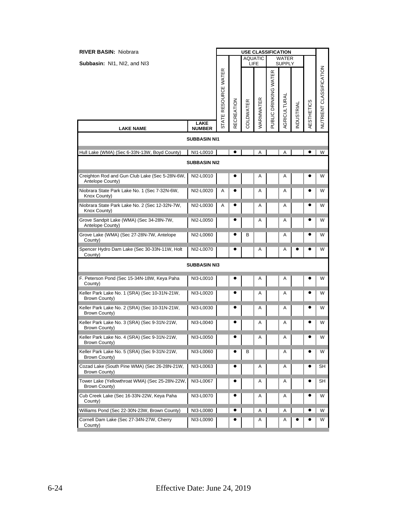| <b>RIVER BASIN: Niobrara</b>                                       |                                      |                      |                   |           | <b>USE CLASSIFICATION</b> |                       |                        |                  |                   |                         |
|--------------------------------------------------------------------|--------------------------------------|----------------------|-------------------|-----------|---------------------------|-----------------------|------------------------|------------------|-------------------|-------------------------|
| Subbasin: NI1, NI2, and NI3                                        |                                      |                      |                   |           | <b>AQUATIC</b><br>LIFE    |                       | <b>WATER</b><br>SUPPLY |                  |                   |                         |
|                                                                    | <b>LAKE</b>                          | STATE RESOURCE WATER | <b>RECREATION</b> | COLDWATER | WARMWATER                 | PUBLIC DRINKING WATER | AGRICULTURAL           | <b>NDUSTRIAL</b> | <b>AESTHETICS</b> | NUTRIENT CLASSIFICATION |
| <b>LAKE NAME</b>                                                   | <b>NUMBER</b><br><b>SUBBASIN NI1</b> |                      |                   |           |                           |                       |                        |                  |                   |                         |
|                                                                    |                                      |                      |                   |           |                           |                       |                        |                  |                   |                         |
| Hull Lake (WMA) (Sec 6-33N-13W, Boyd County)                       | NI1-L0010                            |                      | $\bullet$         |           | Α                         |                       | Α                      |                  |                   | W                       |
|                                                                    | <b>SUBBASIN NI2</b>                  |                      |                   |           |                           |                       |                        |                  |                   |                         |
| Creighton Rod and Gun Club Lake (Sec 5-28N-6W,<br>Antelope County) | NI2-L0010                            |                      |                   |           | Α                         |                       | Α                      |                  |                   | W                       |
| Niobrara State Park Lake No. 1 (Sec 7-32N-6W,<br>Knox County)      | NI2-L0020                            | A                    |                   |           | Α                         |                       | Α                      |                  |                   | W                       |
| Niobrara State Park Lake No. 2 (Sec 12-32N-7W,<br>Knox County)     | NI2-L0030                            | A                    |                   |           | Α                         |                       | Α                      |                  | e                 | W                       |
| Grove Sandpit Lake (WMA) (Sec 34-28N-7W,<br>Antelope County)       | NI2-L0050                            |                      |                   |           | Α                         |                       | Α                      |                  |                   | W                       |
| Grove Lake (WMA) (Sec 27-28N-7W, Antelope<br>County)               | NI2-L0060                            |                      |                   | В         |                           |                       | Α                      |                  |                   | W                       |
| Spencer Hydro Dam Lake (Sec 30-33N-11W, Holt<br>County)            | NI2-L0070                            |                      | 0                 |           | Α                         |                       | Α                      |                  |                   | W                       |
|                                                                    | <b>SUBBASIN NI3</b>                  |                      |                   |           |                           |                       |                        |                  |                   |                         |
| F. Peterson Pond (Sec 15-34N-18W, Keya Paha<br>County)             | NI3-L0010                            |                      |                   |           | Α                         |                       | Α                      |                  |                   | W                       |
| Keller Park Lake No. 1 (SRA) (Sec 10-31N-21W,<br>Brown County)     | NI3-L0020                            |                      |                   |           | Α                         |                       | Α                      |                  |                   | W                       |
| Keller Park Lake No. 2 (SRA) (Sec 10-31N-21W,<br>Brown County)     | NI3-L0030                            |                      |                   |           | Α                         |                       | Α                      |                  |                   | W                       |
| Keller Park Lake No. 3 (SRA) (Sec 9-31N-21W,<br>Brown County)      | NI3-L0040                            |                      |                   |           | Α                         |                       | Α                      |                  |                   | W                       |
| Keller Park Lake No. 4 (SRA) (Sec 9-31N-21W,<br>Brown County)      | NI3-L0050                            |                      |                   |           | Α                         |                       | Α                      |                  |                   | W                       |
| Keller Park Lake No. 5 (SRA) (Sec 9-31N-21W,<br>Brown County)      | NI3-L0060                            |                      |                   | в         |                           |                       | Α                      |                  |                   | W                       |
| Cozad Lake (South Pine WMA) (Sec 26-28N-21W,<br>Brown County)      | NI3-L0063                            |                      |                   |           | Α                         |                       | Α                      |                  |                   | SH                      |
| Tower Lake (Yellowthroat WMA) (Sec 25-28N-22W,<br>Brown County)    | NI3-L0067                            |                      |                   |           | Α                         |                       | A                      |                  |                   | SН                      |
| Cub Creek Lake (Sec 16-33N-22W, Keya Paha<br>County)               | NI3-L0070                            |                      |                   |           | Α                         |                       | Α                      |                  | c                 | W                       |
| Williams Pond (Sec 22-30N-23W, Brown County)                       | NI3-L0080                            |                      |                   |           | Α                         |                       | Α                      |                  |                   | W                       |
| Cornell Dam Lake (Sec 27-34N-27W, Cherry<br>County)                | NI3-L0090                            |                      |                   |           | Α                         |                       | Α                      |                  |                   | W                       |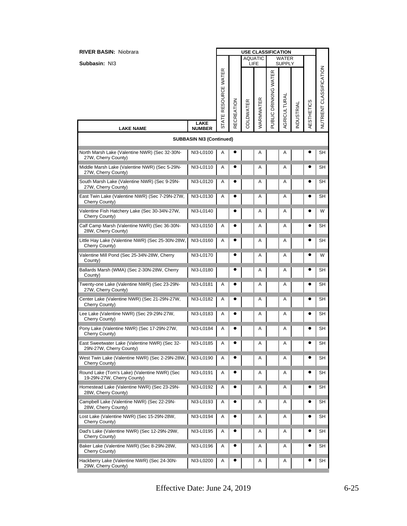| <b>RIVER BASIN: Niobrara</b>                                               |                                 |                    |                   |           | <b>USE CLASSIFICATION</b> |                       |                               |           |            |                                |
|----------------------------------------------------------------------------|---------------------------------|--------------------|-------------------|-----------|---------------------------|-----------------------|-------------------------------|-----------|------------|--------------------------------|
| Subbasin: NI3                                                              |                                 |                    |                   | LIFE      | <b>AQUATIC</b>            |                       | <b>WATER</b><br><b>SUPPLY</b> |           |            |                                |
|                                                                            |                                 | ATE RESOURCE WATER | <b>RECREATION</b> | COLDWATER | WARMWATER                 | PUBLIC DRINKING WATER | AGRICULTURAL                  | NDUSTRIAL | AESTHETICS | <b>NUTRIENT CLASSIFICATION</b> |
| <b>LAKE NAME</b>                                                           | <b>LAKE</b><br><b>NUMBER</b>    | ದ                  |                   |           |                           |                       |                               |           |            |                                |
|                                                                            | <b>SUBBASIN NI3 (Continued)</b> |                    |                   |           |                           |                       |                               |           |            |                                |
| North Marsh Lake (Valentine NWR) (Sec 32-30N-<br>27W, Cherry County)       | NI3-L0100                       | Α                  |                   |           | Α                         |                       | A                             |           |            | SН                             |
| Middle Marsh Lake (Valentine NWR) (Sec 5-29N-<br>27W, Cherry County)       | NI3-L0110                       | Α                  |                   |           | Α                         |                       | Α                             |           |            | SН                             |
| South Marsh Lake (Valentine NWR) (Sec 9-29N-<br>27W, Cherry County)        | NI3-L0120                       | A                  |                   |           | Α                         |                       | A                             |           |            | SН                             |
| East Twin Lake (Valentine NWR) (Sec 7-29N-27W,<br>Cherry County)           | NI3-L0130                       | A                  |                   |           | Α                         |                       | Α                             |           |            | SH                             |
| Valentine Fish Hatchery Lake (Sec 30-34N-27W,<br>Cherry County)            | NI3-L0140                       |                    |                   |           | Α                         |                       | Α                             |           |            | W                              |
| Calf Camp Marsh (Valentine NWR) (Sec 36-30N-<br>28W, Cherry County)        | NI3-L0150                       | A                  |                   |           | A                         |                       | A                             |           |            | SН                             |
| Little Hay Lake (Valentine NWR) (Sec 25-30N-28W,<br>Cherry County)         | NI3-L0160                       | Α                  |                   |           | Α                         |                       | Α                             |           |            | SH                             |
| Valentine Mill Pond (Sec 25-34N-28W, Cherry<br>County)                     | NI3-L0170                       |                    |                   |           | Α                         |                       | A                             |           |            | W                              |
| Ballards Marsh (WMA) (Sec 2-30N-28W, Cherry<br>County)                     | NI3-L0180                       |                    |                   |           | Α                         |                       | Α                             |           |            | SН                             |
| Twenty-one Lake (Valentine NWR) (Sec 23-29N-<br>27W, Cherry County)        | NI3-L0181                       | Α                  | 0                 |           | Α                         |                       | A                             |           |            | SН                             |
| Center Lake (Valentine NWR) (Sec 21-29N-27W,<br>Cherry County)             | NI3-L0182                       | Α                  |                   |           | Α                         |                       | Α                             |           |            | SН                             |
| Lee Lake (Valentine NWR) (Sec 29-29N-27W,<br>Cherry County)                | NI3-L0183                       | A                  |                   |           | Α                         |                       | Α                             |           |            | SН                             |
| Pony Lake (Valentine NWR) (Sec 17-29N-27W,<br>Cherry County)               | NI3-L0184                       | Α                  |                   |           | Α                         |                       | A                             |           |            | SН                             |
| East Sweetwater Lake (Valentine NWR) (Sec 32-<br>29N-27W, Cherry County)   | NI3-L0185                       | Α                  | $\bullet$         |           | Α                         |                       | A                             |           |            | SH                             |
| West Twin Lake (Valentine NWR) (Sec 2-29N-28W,<br>Cherry County)           | NI3-L0190                       | Α                  |                   |           | Α                         |                       | Α                             |           |            | SH                             |
| Round Lake (Tom's Lake) (Valentine NWR) (Sec<br>19-29N-27W, Cherry County) | NI3-L0191                       | Α                  |                   |           | Α                         |                       | Α                             |           |            | SН                             |
| Homestead Lake (Valentine NWR) (Sec 23-29N-<br>28W, Cherry County)         | NI3-L0192                       | Α                  |                   |           | Α                         |                       | Α                             |           |            | SН                             |
| Campbell Lake (Valentine NWR) (Sec 22-29N-<br>28W, Cherry County)          | NI3-L0193                       | Α                  |                   |           | Α                         |                       | Α                             |           |            | SН                             |
| Lost Lake (Valentine NWR) (Sec 15-29N-28W,<br>Cherry County)               | NI3-L0194                       | Α                  |                   |           | A                         |                       | Α                             |           |            | SН                             |
| Dad's Lake (Valentine NWR) (Sec 12-29N-29W,<br>Cherry County)              | NI3-L0195                       | Α                  |                   |           | Α                         |                       | Α                             |           |            | SН                             |
| Baker Lake (Valentine NWR) (Sec 8-29N-28W,<br>Cherry County)               | NI3-L0196                       | Α                  |                   |           | Α                         |                       | Α                             |           |            | SН                             |
| Hackberry Lake (Valentine NWR) (Sec 24-30N-<br>29W, Cherry County)         | NI3-L0200                       | Α                  |                   |           | Α                         |                       | Α                             |           |            | SН                             |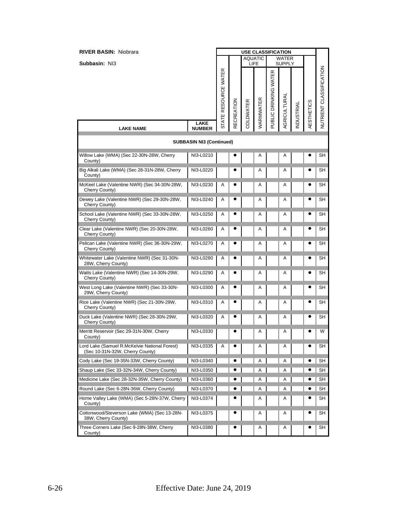| <b>RIVER BASIN: Niobrara</b>                                                     |                                 | <b>USE CLASSIFICATION</b> |                   |           |                        |                       |                               |           |                   |                         |
|----------------------------------------------------------------------------------|---------------------------------|---------------------------|-------------------|-----------|------------------------|-----------------------|-------------------------------|-----------|-------------------|-------------------------|
| Subbasin: NI3                                                                    |                                 |                           |                   |           | <b>AQUATIC</b><br>LIFE |                       | <b>WATER</b><br><b>SUPPLY</b> |           |                   |                         |
|                                                                                  |                                 |                           |                   |           |                        |                       |                               |           |                   |                         |
|                                                                                  |                                 | STATE RESOURCE WATER      | <b>RECREATION</b> | COLDWATER | WARMWATER              | PUBLIC DRINKING WATER | AGRICULTURAL                  | NDUSTRIAL | <b>AESTHETICS</b> | NUTRIENT CLASSIFICATION |
| <b>LAKE NAME</b>                                                                 | <b>LAKE</b><br><b>NUMBER</b>    |                           |                   |           |                        |                       |                               |           |                   |                         |
|                                                                                  | <b>SUBBASIN NI3 (Continued)</b> |                           |                   |           |                        |                       |                               |           |                   |                         |
| Willow Lake (WMA) (Sec 22-30N-28W, Cherry<br>County)                             | NI3-L0210                       |                           |                   |           | Α                      |                       | Α                             |           |                   | SH                      |
| Big Alkali Lake (WMA) (Sec 28-31N-28W, Cherry<br>County)                         | NI3-L0220                       |                           |                   |           | Α                      |                       | A                             |           |                   | SH                      |
| McKeel Lake (Valentine NWR) (Sec 34-30N-28W,<br>Cherry County)                   | NI3-L0230                       | A                         |                   |           | Α                      |                       | A                             |           |                   | SН                      |
| Dewey Lake (Valentine NWR) (Sec 29-30N-28W,<br>Cherry County)                    | NI3-L0240                       | Α                         |                   |           | Α                      |                       | Α                             |           |                   | SH                      |
| School Lake (Valentine NWR) (Sec 33-30N-28W,<br>Cherry County)                   | NI3-L0250                       | A                         |                   |           | A                      |                       | A                             |           |                   | SН                      |
| Clear Lake (Valentine NWR) (Sec 20-30N-28W,<br>Cherry County)                    | NI3-L0260                       | Α                         |                   |           | Α                      |                       | A                             |           |                   | SH                      |
| Pelican Lake (Valentine NWR) (Sec 36-30N-29W,<br>Cherry County)                  | NI3-L0270                       | Α                         |                   |           | Α                      |                       | A                             |           |                   | SH                      |
| Whitewater Lake (Valentine NWR) (Sec 31-30N-<br>28W, Cherry County)              | NI3-L0280                       | Α                         |                   |           | Α                      |                       | A                             |           |                   | SН                      |
| Watts Lake (Valentine NWR) (Sec 14-30N-29W,<br>Cherry County)                    | NI3-L0290                       | Α                         |                   |           | Α                      |                       | A                             |           |                   | SH                      |
| West Long Lake (Valentine NWR) (Sec 33-30N-<br>29W, Cherry County)               | NI3-L0300                       | Α                         |                   |           | Α                      |                       | A                             |           |                   | SН                      |
| Rice Lake (Valentine NWR) (Sec 21-30N-29W,<br>Cherry County)                     | NI3-L0310                       | A                         |                   |           | Α                      |                       | A                             |           |                   | SН                      |
| Duck Lake (Valentine NWR) (Sec 28-30N-29W,<br>Cherry County)                     | NI3-L0320                       | A                         |                   |           | Α                      |                       | A                             |           |                   | SН                      |
| Merritt Reservoir (Sec 29-31N-30W, Cherry<br>County)                             | NI3-L0330                       |                           |                   |           | Α                      |                       | A                             |           |                   | W                       |
| Lord Lake (Samuel R.McKelvie National Forest)<br>(Sec 10-31N-32W, Cherry County) | NI3-L0335                       | Α                         |                   |           | Α                      |                       | Α                             |           |                   | SH                      |
| Cody Lake (Sec 19-35N-33W, Cherry County)                                        | NI3-L0340                       |                           |                   |           | Α                      |                       | Α                             |           |                   | SH                      |
| Shaup Lake (Sec 33-32N-34W, Cherry County)                                       | NI3-L0350                       |                           |                   |           | Α                      |                       | Α                             |           |                   | SH                      |
| Medicine Lake (Sec 28-32N-35W, Cherry County)                                    | NI3-L0360                       |                           |                   |           | Α                      |                       | Α                             |           |                   | SH                      |
| Round Lake (Sec 6-28N-36W, Cherry County)                                        | NI3-L0370                       |                           |                   |           | Α                      |                       | Α                             |           |                   | SH                      |
| Home Valley Lake (WMA) (Sec 5-28N-37W, Cherry<br>County)                         | NI3-L0374                       |                           |                   |           | Α                      |                       | Α                             |           |                   | SH                      |
| Cottonwood/Steverson Lake (WMA) (Sec 13-28N-<br>38W, Cherry County)              | NI3-L0375                       |                           |                   |           | Α                      |                       | Α                             |           |                   | SH                      |
| Three Corners Lake (Sec 9-28N-38W, Cherry<br>County)                             | NI3-L0380                       |                           |                   |           | Α                      |                       | Α                             |           |                   | SH                      |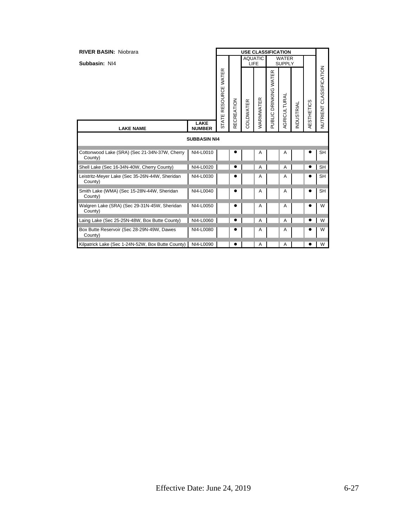| <b>RIVER BASIN: Niobrara</b>                              |                     |                |                   |           | <b>USE CLASSIFICATION</b> |                             |                               |                  |            |                            |
|-----------------------------------------------------------|---------------------|----------------|-------------------|-----------|---------------------------|-----------------------------|-------------------------------|------------------|------------|----------------------------|
| Subbasin: NI4                                             |                     |                |                   | LIFE      | <b>AQUATIC</b>            |                             | <b>WATER</b><br><b>SUPPLY</b> |                  |            |                            |
| LAKE<br><b>LAKE NAME</b><br><b>NUMBER</b>                 |                     | RESOURCE WATER | <b>RECREATION</b> | COLDWATER | WARMWATER                 | WATER<br>DRINKING<br>PUBLIC | AGRICULTURAL                  | <b>NDUSTRIAL</b> | AESTHETICS | CLASSIFICATION<br>NUTRIENT |
|                                                           |                     | <b>STATE</b>   |                   |           |                           |                             |                               |                  |            |                            |
|                                                           | <b>SUBBASIN NI4</b> |                |                   |           |                           |                             |                               |                  |            |                            |
| Cottonwood Lake (SRA) (Sec 21-34N-37W, Cherry<br>County)  | NI4-L0010           |                |                   |           | Α                         |                             | Α                             |                  |            | <b>SH</b>                  |
| Shell Lake (Sec 16-34N-40W, Cherry County)                | NI4-L0020           |                |                   |           | A                         |                             | $\overline{A}$                |                  |            | <b>SH</b>                  |
| Leistritz-Meyer Lake (Sec 35-26N-44W, Sheridan<br>County) | NI4-L0030           |                |                   |           | Α                         |                             | A                             |                  |            | <b>SH</b>                  |
| Smith Lake (WMA) (Sec 15-28N-44W, Sheridan<br>County)     | NI4-L0040           |                |                   |           | Α                         |                             | A                             |                  |            | <b>SH</b>                  |
| Walgren Lake (SRA) (Sec 29-31N-45W, Sheridan<br>County)   | NI4-L0050           |                |                   |           | Α                         |                             | A                             |                  |            | W                          |
| Laing Lake (Sec 25-25N-48W, Box Butte County)             | NI4-L0060           |                |                   |           | Α                         |                             | $\overline{A}$                |                  |            | W                          |
| Box Butte Reservoir (Sec 28-29N-49W, Dawes<br>County)     | NI4-L0080           |                |                   |           | Α                         |                             | A                             |                  |            | W                          |
| Kilpatrick Lake (Sec 1-24N-52W, Box Butte County)         | NI4-L0090           |                |                   |           | A                         |                             | Α                             |                  |            | W                          |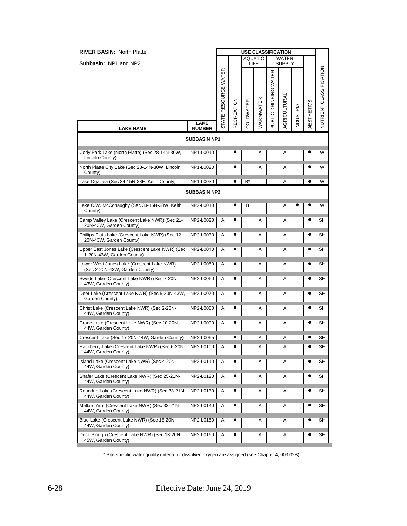| <b>RIVER BASIN: North Platte</b>                                            |                              |                      |                   | <b>USE CLASSIFICATION</b> |           |                       |                               |           |                   |                         |
|-----------------------------------------------------------------------------|------------------------------|----------------------|-------------------|---------------------------|-----------|-----------------------|-------------------------------|-----------|-------------------|-------------------------|
| <b>Subbasin: NP1 and NP2</b>                                                |                              |                      |                   | <b>AQUATIC</b><br>LIFE    |           |                       | <b>WATER</b><br><b>SUPPLY</b> |           |                   |                         |
|                                                                             |                              | STATE RESOURCE WATER | <b>RECREATION</b> | COLDWATER                 | WARMWATER | PUBLIC DRINKING WATER | AGRICULTURAL                  | NDUSTRIAL | <b>AESTHETICS</b> | NUTRIENT CLASSIFICATION |
| <b>LAKE NAME</b>                                                            | <b>LAKE</b><br><b>NUMBER</b> |                      |                   |                           |           |                       |                               |           |                   |                         |
|                                                                             | <b>SUBBASIN NP1</b>          |                      |                   |                           |           |                       |                               |           |                   |                         |
| Cody Park Lake (North Platte) (Sec 28-14N-30W,<br>Lincoln County)           | NP1-L0010                    |                      |                   |                           | Α         |                       | A                             |           |                   | W                       |
| North Platte City Lake (Sec 28-14N-30W, Lincoln<br>County)                  | NP1-L0020                    |                      | e                 |                           | A         |                       | Α                             |           |                   | W                       |
| Lake Ogallala (Sec 34-15N-38E, Keith County)                                | NP1-L0030                    |                      | $\bullet$         | B*                        |           |                       | Α                             |           | ٠                 | W                       |
|                                                                             | <b>SUBBASIN NP2</b>          |                      |                   |                           |           |                       |                               |           |                   |                         |
| Lake C.W. McConaughy (Sec 33-15N-38W, Keith<br>County)                      | NP2-L0010                    |                      |                   | в                         |           |                       | Α                             |           | 0                 | W                       |
| Camp Valley Lake (Crescent Lake NWR) (Sec 21-<br>20N-43W, Garden County)    | NP2-L0020                    | Α                    |                   |                           | Α         |                       | Α                             |           |                   | SН                      |
| Phillips Flats Lake (Crescent Lake NWR) (Sec 12-<br>20N-43W, Garden County) | NP2-L0030                    | Α                    |                   |                           | A         |                       | Α                             |           | O                 | SH                      |
| Upper East Jones Lake (Crescent Lake NWR) (Sec<br>1-20N-43W, Garden County) | NP2-L0040                    | A                    |                   |                           | Α         |                       | Α                             |           | $\bullet$         | SH                      |
| Lower West Jones Lake (Crescent Lake NWR)<br>(Sec 2-20N-43W, Garden County) | NP2-L0050                    | Α                    |                   |                           | Α         |                       | A                             |           | 0                 | SН                      |
| Swede Lake (Crescent Lake NWR) (Sec 7-20N-<br>43W, Garden County)           | NP2-L0060                    | Α                    |                   |                           | A         |                       | A                             |           | 0                 | SН                      |
| Deer Lake (Crescent Lake NWR) (Sec 5-20N-43W,<br>Garden County)             | NP2-L0070                    | A                    |                   |                           | A         |                       | A                             |           | 0                 | SH                      |
| Christ Lake (Crescent Lake NWR) (Sec 2-20N-<br>44W, Garden County)          | NP2-L0080                    | Α                    |                   |                           | Α         |                       | A                             |           |                   | SH                      |
| Crane Lake (Crescent Lake NWR) (Sec 10-20N-<br>44W, Garden County)          | NP2-L0090                    | A                    |                   |                           | Α         |                       | Α                             |           |                   | SН                      |
| Crescent Lake (Sec 17-20N-44W, Garden County)                               | NP2-L0095                    |                      | $\bullet$         |                           | Α         |                       | A                             |           | $\bullet$         | SH                      |
| Hackberry Lake (Crescent Lake NWR) (Sec 6-20N-<br>44W, Garden County)       | NP2-L0100                    | Α                    |                   |                           | Α         |                       | Α                             |           |                   | SН                      |
| Island Lake (Crescent Lake NWR) (Sec 4-20N-<br>44W, Garden County)          | NP2-L0110                    | A                    |                   |                           | Α         |                       | A                             |           | $\bullet$         | SН                      |
| Shafer Lake (Crescent Lake NWR) (Sec 25-21N-<br>44W, Garden County)         | NP2-L0120                    | A                    |                   |                           | Α         |                       | A                             |           | 0                 | SH                      |
| Roundup Lake (Crescent Lake NWR) (Sec 33-21N-<br>44W, Garden County)        | NP2-L0130                    | Α                    | e                 |                           | Α         |                       | Α                             |           |                   | SН                      |
| Mallard Arm (Crescent Lake NWR) (Sec 33-21N-<br>44W, Garden County)         | NP2-L0140                    | Α                    |                   |                           | Α         |                       | A                             |           | $\bullet$         | SН                      |
| Blue Lake (Crescent Lake NWR) (Sec 18-20N-<br>44W, Garden County)           | NP2-L0150                    | Α                    |                   |                           | A         |                       | A                             |           | $\bullet$         | <b>SH</b>               |
| Duck Slough (Crescent Lake NWR) (Sec 13-20N-<br>45W, Garden County)         | NP2-L0160                    | Α                    | e                 |                           | Α         |                       | A                             |           | G                 | SН                      |

\* Site-specific water quality criteria for dissolved oxygen are assigned (see Chapter 4, 003.02B).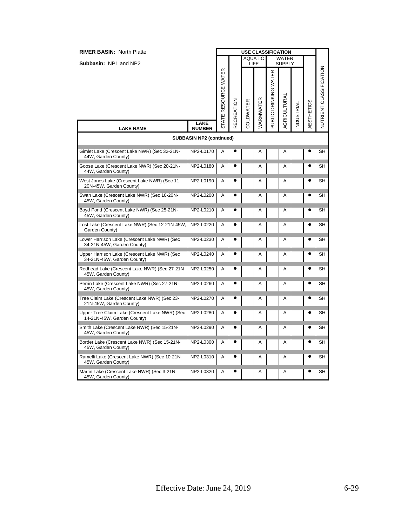| <b>RIVER BASIN: North Platte</b>                                             |                                 |                    |            | <b>USE CLASSIFICATION</b> |                  |                       |                               |           |            |                                |
|------------------------------------------------------------------------------|---------------------------------|--------------------|------------|---------------------------|------------------|-----------------------|-------------------------------|-----------|------------|--------------------------------|
| Subbasin: NP1 and NP2                                                        |                                 |                    |            | LIFE                      | <b>AQUATIC</b>   |                       | <b>WATER</b><br><b>SUPPLY</b> |           |            |                                |
|                                                                              |                                 | ATE RESOURCE WATER | RECREATION | COLDWATER                 | <b>NARMWATER</b> | PUBLIC DRINKING WATER | AGRICULTURAL                  | NDUSTRIAL | AESTHETICS | <b>NUTRIENT CLASSIFICATION</b> |
| <b>LAKE NAME</b>                                                             | LAKE<br><b>NUMBER</b>           | 능                  |            |                           |                  |                       |                               |           |            |                                |
|                                                                              | <b>SUBBASIN NP2 (continued)</b> |                    |            |                           |                  |                       |                               |           |            |                                |
| Gimlet Lake (Crescent Lake NWR) (Sec 32-21N-<br>44W, Garden County)          | NP2-L0170                       | Α                  |            |                           | Α                |                       | Α                             |           |            | SН                             |
| Goose Lake (Crescent Lake NWR) (Sec 20-21N-<br>44W, Garden County)           | NP2-L0180                       | A                  |            |                           | A                |                       | A                             |           |            | SН                             |
| West Jones Lake (Crescent Lake NWR) (Sec 11-<br>20N-45W, Garden County)      | NP2-L0190                       | A                  |            |                           | A                |                       | Α                             |           |            | SН                             |
| Swan Lake (Crescent Lake NWR) (Sec 10-20N-<br>45W, Garden County)            | NP2-L0200                       | A                  |            |                           | Α                |                       | A                             |           |            | SН                             |
| Boyd Pond (Crescent Lake NWR) (Sec 25-21N-<br>45W, Garden County)            | NP2-L0210                       | Α                  |            |                           | Α                |                       | A                             |           |            | SН                             |
| Lost Lake (Crescent Lake NWR) (Sec 12-21N-45W,<br>Garden County)             | NP2-L0220                       | A                  |            |                           | A                |                       | A                             |           |            | <b>SH</b>                      |
| Lower Harrison Lake (Crescent Lake NWR) (Sec<br>34-21N-45W, Garden County)   | NP2-L0230                       | Α                  |            |                           | Α                |                       | A                             |           |            | SН                             |
| Upper Harrison Lake (Crescent Lake NWR) (Sec<br>34-21N-45W, Garden County)   | NP2-L0240                       | A                  |            |                           | А                |                       | A                             |           |            | SН                             |
| Redhead Lake (Crescent Lake NWR) (Sec 27-21N-<br>45W, Garden County)         | NP2-L0250                       | Α                  |            |                           | Α                |                       | A                             |           |            | SН                             |
| Perrin Lake (Crescent Lake NWR) (Sec 27-21N-<br>45W, Garden County)          | NP2-L0260                       | Α                  |            |                           | Α                |                       | A                             |           |            | SН                             |
| Tree Claim Lake (Crescent Lake NWR) (Sec 23-<br>21N-45W, Garden County)      | NP2-L0270                       | A                  |            |                           | A                |                       | A                             |           |            | <b>SH</b>                      |
| Upper Tree Claim Lake (Crescent Lake NWR) (Sec<br>14-21N-45W, Garden County) | NP2-L0280                       | A                  |            |                           | Α                |                       | A                             |           |            | SН                             |
| Smith Lake (Crescent Lake NWR) (Sec 15-21N-<br>45W, Garden County)           | NP2-L0290                       | A                  |            |                           | А                |                       | A                             |           |            | SН                             |
| Border Lake (Crescent Lake NWR) (Sec 15-21N-<br>45W, Garden County)          | NP2-L0300                       | A                  |            |                           | A                |                       | A                             |           |            | SН                             |
| Ramelli Lake (Crescent Lake NWR) (Sec 10-21N-<br>45W, Garden County)         | NP2-L0310                       | Α                  |            |                           | A                |                       | A                             |           |            | SН                             |
| Martin Lake (Crescent Lake NWR) (Sec 3-21N-<br>45W, Garden County)           | NP2-L0320                       | A                  |            |                           | Α                |                       | A                             |           |            | SН                             |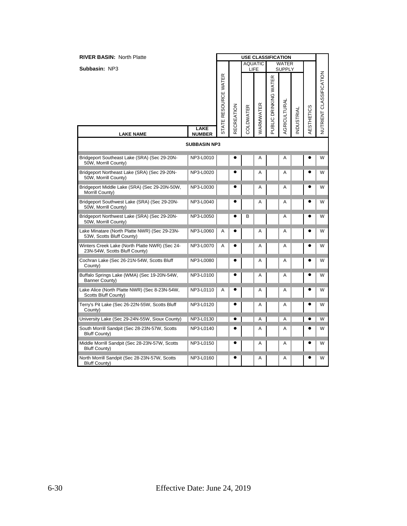| <b>RIVER BASIN: North Platte</b>                                                |                     |                      |                   | <b>USE CLASSIFICATION</b> |                        |                       |                        |                  |            |                         |
|---------------------------------------------------------------------------------|---------------------|----------------------|-------------------|---------------------------|------------------------|-----------------------|------------------------|------------------|------------|-------------------------|
| Subbasin: NP3                                                                   |                     |                      |                   |                           | <b>AQUATIC</b><br>LIFE |                       | <b>WATER</b><br>SUPPLY |                  |            |                         |
|                                                                                 | <b>LAKE</b>         | STATE RESOURCE WATER | <b>RECREATION</b> | COLDWATER                 | <b>NARMWATER</b>       | PUBLIC DRINKING WATER | <b>AGRICULTURAL</b>    | <b>NDUSTRIAL</b> | AESTHETICS | NUTRIENT CLASSIFICATION |
| <b>LAKE NAME</b>                                                                | <b>NUMBER</b>       |                      |                   |                           |                        |                       |                        |                  |            |                         |
|                                                                                 | <b>SUBBASIN NP3</b> |                      |                   |                           |                        |                       |                        |                  |            |                         |
| Bridgeport Southeast Lake (SRA) (Sec 29-20N-<br>50W, Morrill County)            | NP3-L0010           |                      |                   |                           | Α                      |                       | A                      |                  |            | W                       |
| Bridgeport Northeast Lake (SRA) (Sec 29-20N-<br>50W, Morrill County)            | NP3-L0020           |                      |                   |                           | A                      |                       | A                      |                  |            | W                       |
| Bridgeport Middle Lake (SRA) (Sec 29-20N-50W,<br>Morrill County)                | NP3-L0030           |                      |                   |                           | Α                      |                       | A                      |                  |            | W                       |
| Bridgeport Southwest Lake (SRA) (Sec 29-20N-<br>50W, Morrill County)            | NP3-L0040           |                      |                   |                           | A                      |                       | A                      |                  |            | W                       |
| Bridgeport Northwest Lake (SRA) (Sec 29-20N-<br>50W, Morrill County)            | NP3-L0050           |                      |                   | B                         |                        |                       | A                      |                  |            | W                       |
| Lake Minatare (North Platte NWR) (Sec 29-23N-<br>53W, Scotts Bluff County)      | NP3-L0060           | A                    |                   |                           | A                      |                       | Α                      |                  |            | W                       |
| Winters Creek Lake (North Platte NWR) (Sec 24-<br>23N-54W, Scotts Bluff County) | NP3-L0070           | A                    |                   |                           | A                      |                       | A                      |                  |            | W                       |
| Cochran Lake (Sec 26-21N-54W, Scotts Bluff<br>County)                           | NP3-L0080           |                      |                   |                           | A                      |                       | A                      |                  |            | W                       |
| Buffalo Springs Lake (WMA) (Sec 19-20N-54W,<br>Banner County)                   | NP3-L0100           |                      |                   |                           | A                      |                       | A                      |                  |            | W                       |
| Lake Alice (North Platte NWR) (Sec 8-23N-54W,<br>Scotts Bluff County)           | NP3-L0110           | A                    |                   |                           | A                      |                       | Α                      |                  |            | W                       |
| Terry's Pit Lake (Sec 26-22N-55W, Scotts Bluff<br>County)                       | NP3-L0120           |                      |                   |                           | A                      |                       | A                      |                  |            | W                       |
| University Lake (Sec 29-24N-55W, Sioux County)                                  | NP3-L0130           |                      |                   |                           | A                      |                       | A                      |                  |            | W                       |
| South Morrill Sandpit (Sec 28-23N-57W, Scotts<br><b>Bluff County)</b>           | NP3-L0140           |                      |                   |                           | Α                      |                       | Α                      |                  |            | W                       |
| Middle Morrill Sandpit (Sec 28-23N-57W, Scotts<br><b>Bluff County)</b>          | NP3-L0150           |                      |                   |                           | Α                      |                       | A                      |                  |            | W                       |
| North Morrill Sandpit (Sec 28-23N-57W, Scotts<br><b>Bluff County)</b>           | NP3-L0160           |                      |                   |                           | A                      |                       | A                      |                  |            | W                       |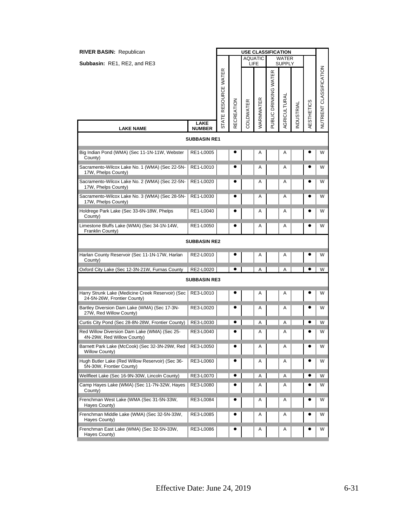| <b>RIVER BASIN: Republican</b>                                                   |                       | <b>USE CLASSIFICATION</b> |                   |           |                |                       |                               |           |                   |                         |  |
|----------------------------------------------------------------------------------|-----------------------|---------------------------|-------------------|-----------|----------------|-----------------------|-------------------------------|-----------|-------------------|-------------------------|--|
| Subbasin: RE1, RE2, and RE3                                                      |                       |                           |                   | LIFE      | <b>AQUATIC</b> |                       | <b>WATER</b><br><b>SUPPLY</b> |           |                   |                         |  |
|                                                                                  |                       | STATE RESOURCE WATER      | <b>RECREATION</b> | COLDWATER | WARMWATER      | PUBLIC DRINKING WATER | AGRICULTURAL                  | NDUSTRIAL | <b>AESTHETICS</b> | NUTRIENT CLASSIFICATION |  |
| <b>LAKE NAME</b>                                                                 | LAKE<br><b>NUMBER</b> |                           |                   |           |                |                       |                               |           |                   |                         |  |
| <b>SUBBASIN RE1</b>                                                              |                       |                           |                   |           |                |                       |                               |           |                   |                         |  |
| Big Indian Pond (WMA) (Sec 11-1N-11W, Webster<br>County)                         | RE1-L0005             |                           |                   |           | A              |                       | A                             |           |                   | W                       |  |
| Sacramento-Wilcox Lake No. 1 (WMA) (Sec 22-5N-<br>17W, Phelps County)            | RE1-L0010             |                           |                   |           | Α              |                       | Α                             |           |                   | W                       |  |
| Sacramento-Wilcox Lake No. 2 (WMA) (Sec 22-5N-<br>17W, Phelps County)            | RE1-L0020             |                           | e                 |           | Α              |                       | A                             |           |                   | W                       |  |
| Sacramento-Wilcox Lake No. 3 (WMA) (Sec 28-5N-<br>17W, Phelps County)            | RE1-L0030             |                           |                   |           | A              |                       | A                             |           |                   | W                       |  |
| Holdrege Park Lake (Sec 33-6N-18W, Phelps<br>County)                             | RE1-L0040             |                           |                   |           | A              |                       | A                             |           |                   | W                       |  |
| Limestone Bluffs Lake (WMA) (Sec 34-1N-14W,<br>Franklin County)                  | RE1-L0050             |                           | $\bullet$         |           | A              |                       | A                             |           |                   | W                       |  |
|                                                                                  | <b>SUBBASIN RE2</b>   |                           |                   |           |                |                       |                               |           |                   |                         |  |
| Harlan County Reservoir (Sec 11-1N-17W, Harlan<br>County)                        | RE2-L0010             |                           |                   |           | A              |                       | A                             |           |                   | W                       |  |
| Oxford City Lake (Sec 12-3N-21W, Furnas County                                   | RE2-L0020             |                           | ٠                 |           | A              |                       | Α                             |           |                   | W                       |  |
|                                                                                  | <b>SUBBASIN RE3</b>   |                           |                   |           |                |                       |                               |           |                   |                         |  |
| Harry Strunk Lake (Medicine Creek Reservoir) (Sec<br>24-5N-26W, Frontier County) | RE3-L0010             |                           | e                 |           | Α              |                       | Α                             |           |                   | W                       |  |
| Bartley Diversion Dam Lake (WMA) (Sec 17-3N-<br>27W, Red Willow County)          | RE3-L0020             |                           |                   |           | A              |                       | A                             |           |                   | W                       |  |
| Curtis City Pond (Sec 28-8N-28W, Frontier County)                                | RE3-L0030             |                           | e                 |           | A              |                       | A                             |           |                   | W                       |  |
| Red Willow Diversion Dam Lake (WMA) (Sec 25-<br>4N-29W, Red Willow County)       | RE3-L0040             |                           |                   |           | Α              |                       | Α                             |           |                   | W                       |  |
| Barnett Park Lake (McCook) (Sec 32-3N-29W, Red<br><b>Willow County)</b>          | RE3-L0050             |                           |                   |           | Α              |                       | Α                             |           |                   | W                       |  |
| Hugh Butler Lake (Red Willow Reservoir) (Sec 36-<br>5N-30W, Frontier County)     | RE3-L0060             |                           |                   |           | Α              |                       | Α                             |           |                   | W                       |  |
| Wellfleet Lake (Sec 16-9N-30W, Lincoln County)                                   | RE3-L0070             |                           | $\bullet$         |           | Α              |                       | Α                             |           |                   | W                       |  |
| Camp Hayes Lake (WMA) (Sec 11-7N-32W, Hayes<br>County)                           | RE3-L0080             |                           |                   |           | A              |                       | A                             |           |                   | W                       |  |
| Frenchman West Lake (WMA (Sec 31-5N-33W,<br>Hayes County)                        | RE3-L0084             |                           |                   |           | Α              |                       | Α                             |           |                   | W                       |  |
| Frenchman Middle Lake (WMA) (Sec 32-5N-33W,<br>Hayes County)                     | RE3-L0085             |                           |                   |           | Α              |                       | Α                             |           |                   | W                       |  |
| Frenchman East Lake (WMA) (Sec 32-5N-33W,<br>Hayes County)                       | RE3-L0086             |                           |                   |           | Α              |                       | Α                             |           |                   | W                       |  |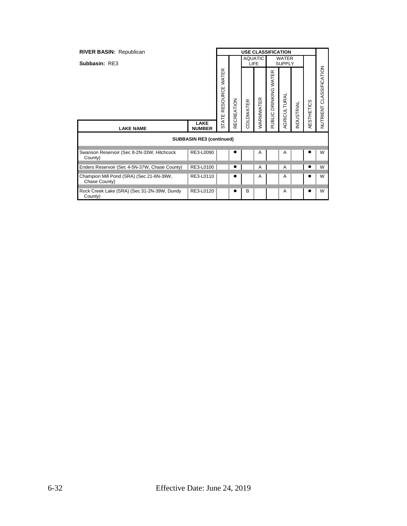| <b>RIVER BASIN: Republican</b>                            |                                 | <b>USE CLASSIFICATION</b>      |            |                               |           |                              |                               |                   |                   |                         |
|-----------------------------------------------------------|---------------------------------|--------------------------------|------------|-------------------------------|-----------|------------------------------|-------------------------------|-------------------|-------------------|-------------------------|
| Subbasin: RE3                                             |                                 |                                |            | <b>AQUATIC</b><br><b>LIFE</b> |           |                              | <b>WATER</b><br><b>SUPPLY</b> |                   |                   |                         |
|                                                           |                                 | RESOURCE WATER<br><b>STATE</b> | RECREATION | COLDWATER                     | WARMWATER | œ<br>DRINKING WATE<br>PUBLIC | AGRICULTURAL                  | <b>INDUSTRIAL</b> | <b>AESTHETICS</b> | NUTRIENT CLASSIFICATION |
| <b>LAKE NAME</b>                                          | <b>LAKE</b><br><b>NUMBER</b>    |                                |            |                               |           |                              |                               |                   |                   |                         |
|                                                           | <b>SUBBASIN RE3 (continued)</b> |                                |            |                               |           |                              |                               |                   |                   |                         |
| Swanson Reservoir (Sec 8-2N-33W, Hitchcock<br>County)     | RE3-L0090                       |                                |            |                               | A         |                              | A                             |                   |                   | W                       |
| Enders Reservoir (Sec 4-5N-37W, Chase County)             | RE3-L0100                       |                                |            |                               | A         |                              | A                             |                   |                   | W                       |
| Champion Mill Pond (SRA) (Sec 21-6N-39W,<br>Chase County) | RE3-L0110                       |                                |            |                               | A         |                              | Α                             |                   |                   | W                       |
| Rock Creek Lake (SRA) (Sec 31-2N-39W, Dundy<br>County)    | RE3-L0120                       |                                |            | B                             |           |                              | A                             |                   |                   | W                       |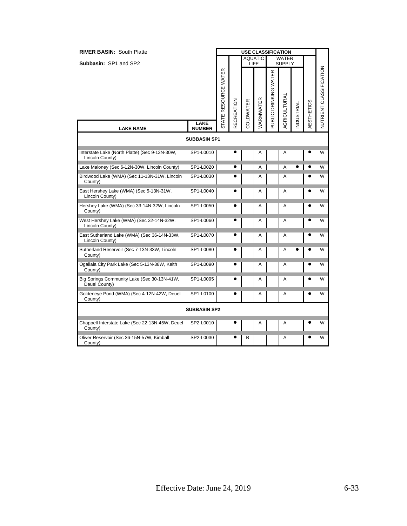| <b>RIVER BASIN: South Platte</b>                                  |                              | <b>USE CLASSIFICATION</b> |            |           |                        |                       |                               |           |            |                         |  |
|-------------------------------------------------------------------|------------------------------|---------------------------|------------|-----------|------------------------|-----------------------|-------------------------------|-----------|------------|-------------------------|--|
| <b>Subbasin: SP1 and SP2</b>                                      |                              |                           |            |           | <b>AQUATIC</b><br>LIFE |                       | <b>WATER</b><br><b>SUPPLY</b> |           |            |                         |  |
|                                                                   |                              | STATE RESOURCE WATER      | RECREATION | COLDWATER | WARMWATER              | PUBLIC DRINKING WATER | AGRICULTURAL                  | NDUSTRIAL | AESTHETICS | NUTRIENT CLASSIFICATION |  |
| <b>LAKE NAME</b>                                                  | <b>LAKE</b><br><b>NUMBER</b> |                           |            |           |                        |                       |                               |           |            |                         |  |
|                                                                   | <b>SUBBASIN SP1</b>          |                           |            |           |                        |                       |                               |           |            |                         |  |
| Interstate Lake (North Platte) (Sec 9-13N-30W,<br>Lincoln County) | SP1-L0010                    |                           |            |           | A                      |                       | Α                             |           |            | W                       |  |
| Lake Maloney (Sec 6-12N-30W, Lincoln County)                      | SP1-L0020                    |                           |            |           | A                      |                       | A                             |           |            | W                       |  |
| Birdwood Lake (WMA) (Sec 11-13N-31W, Lincoln<br>County)           | SP1-L0030                    |                           |            |           | A                      |                       | A                             |           |            | W                       |  |
| East Hershey Lake (WMA) (Sec 5-13N-31W,<br>Lincoln County)        | SP1-L0040                    |                           | ٠          |           | A                      |                       | А                             |           |            | W                       |  |
| Hershey Lake (WMA) (Sec 33-14N-32W, Lincoln<br>County)            | SP1-L0050                    |                           |            |           | Α                      |                       | Α                             |           |            | W                       |  |
| West Hershey Lake (WMA) (Sec 32-14N-32W,<br>Lincoln County)       | SP1-L0060                    |                           |            |           | Α                      |                       | Α                             |           |            | W                       |  |
| East Sutherland Lake (WMA) (Sec 36-14N-33W,<br>Lincoln County)    | SP1-L0070                    |                           |            |           | A                      |                       | Α                             |           |            | W                       |  |
| Sutherland Reservoir (Sec 7-13N-33W, Lincoln<br>County)           | SP1-L0080                    |                           | e          |           | Α                      |                       | Α                             |           |            | W                       |  |
| Ogallala City Park Lake (Sec 5-13N-38W, Keith<br>County)          | SP1-L0090                    |                           |            |           | A                      |                       | Α                             |           |            | W                       |  |
| Big Springs Community Lake (Sec 30-13N-41W,<br>Deuel County)      | SP1-L0095                    |                           |            |           | A                      |                       | Α                             |           |            | W                       |  |
| Goldeneye Pond (WMA) (Sec 4-12N-42W, Deuel<br>County)             | SP1-L0100                    |                           | $\bullet$  |           | A                      |                       | A                             |           | ٠          | W                       |  |
|                                                                   | <b>SUBBASIN SP2</b>          |                           |            |           |                        |                       |                               |           |            |                         |  |
| Chappell Interstate Lake (Sec 22-13N-45W, Deuel<br>County)        | SP2-L0010                    |                           |            |           | A                      |                       | A                             |           |            | W                       |  |
| Oliver Reservoir (Sec 36-15N-57W, Kimball<br>County)              | SP2-L0030                    |                           |            | B         |                        |                       | Α                             |           |            | W                       |  |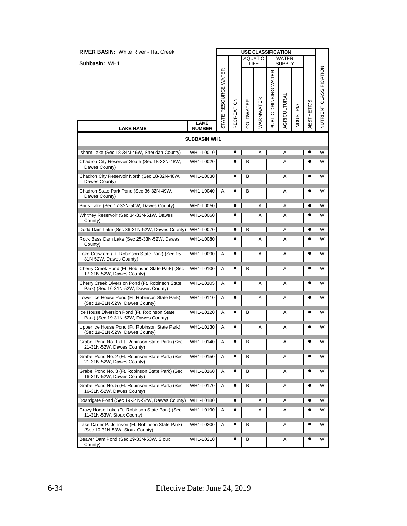| <b>RIVER BASIN: White River - Hat Creek</b>                                             |                              |                      |                   |           | <b>USE CLASSIFICATION</b> |                       |                        |                   |                   |                         |
|-----------------------------------------------------------------------------------------|------------------------------|----------------------|-------------------|-----------|---------------------------|-----------------------|------------------------|-------------------|-------------------|-------------------------|
| Subbasin: WH1                                                                           |                              |                      |                   |           | <b>AQUATIC</b><br>LIFE    |                       | WATER<br><b>SUPPLY</b> |                   |                   |                         |
|                                                                                         |                              | STATE RESOURCE WATER | <b>RECREATION</b> | COLDWATER | WARMWATER                 | PUBLIC DRINKING WATER | AGRICULTURAL           | <b>INDUSTRIAL</b> | <b>AESTHETICS</b> | NUTRIENT CLASSIFICATION |
| <b>LAKE NAME</b>                                                                        | <b>LAKE</b><br><b>NUMBER</b> |                      |                   |           |                           |                       |                        |                   |                   |                         |
|                                                                                         | <b>SUBBASIN WH1</b>          |                      |                   |           |                           |                       |                        |                   |                   |                         |
| Isham Lake (Sec 18-34N-46W, Sheridan County)                                            | WH1-L0010                    |                      |                   |           | A                         |                       | Α                      |                   |                   | W                       |
| Chadron City Reservoir South (Sec 18-32N-48W,<br>Dawes County)                          | WH1-L0020                    |                      |                   | в         |                           |                       | Α                      |                   |                   | W                       |
| Chadron City Reservoir North (Sec 18-32N-48W,<br>Dawes County)                          | WH1-L0030                    |                      |                   | В         |                           |                       | Α                      |                   |                   | W                       |
| Chadron State Park Pond (Sec 36-32N-49W,<br>Dawes County)                               | WH1-L0040                    | Α                    |                   | в         |                           |                       | A                      |                   |                   | W                       |
| Snus Lake (Sec 17-32N-50W, Dawes County)                                                | WH1-L0050                    |                      | e                 |           | Α                         |                       | Α                      |                   |                   | W                       |
| Whitney Reservoir (Sec 34-33N-51W, Dawes<br>County)                                     | WH1-L0060                    |                      |                   |           | A                         |                       | Α                      |                   |                   | W                       |
| Dodd Dam Lake (Sec 36-31N-52W, Dawes County)   WH1-L0070                                |                              |                      |                   | B         |                           |                       | Α                      |                   |                   | W                       |
| Rock Bass Dam Lake (Sec 25-33N-52W, Dawes<br>County)                                    | WH1-L0080                    |                      |                   |           | Α                         |                       | Α                      |                   |                   | W                       |
| Lake Crawford (Ft. Robinson State Park) (Sec 15-<br>31N-52W, Dawes County)              | WH1-L0090                    | Α                    |                   |           | Α                         |                       | Α                      |                   |                   | W                       |
| Cherry Creek Pond (Ft. Robinson State Park) (Sec<br>17-31N-52W, Dawes County)           | WH1-L0100                    | Α                    |                   | в         |                           |                       | Α                      |                   |                   | W                       |
| Cherry Creek Diversion Pond (Ft. Robinson State<br>Park) (Sec 16-31N-52W, Dawes County) | WH1-L0105                    | Α                    |                   |           | Α                         |                       | Α                      |                   |                   | W                       |
| Lower Ice House Pond (Ft. Robinson State Park)<br>(Sec 19-31N-52W, Dawes County)        | WH1-L0110                    | Α                    |                   |           | A                         |                       | Α                      |                   |                   | W                       |
| Ice House Diversion Pond (Ft. Robinson State<br>Park) (Sec 19-31N-52W, Dawes County)    | WH1-L0120                    | Α                    |                   | в         |                           |                       | Α                      |                   |                   | W                       |
| Upper Ice House Pond (Ft. Robinson State Park)<br>(Sec 19-31N-52W, Dawes County)        | WH1-L0130                    | Α                    | e                 |           | Α                         |                       | Α                      |                   | e                 | W                       |
| Grabel Pond No. 1 (Ft. Robinson State Park) (Sec<br>21-31N-52W, Dawes County)           | WH1-L0140                    | A                    |                   | В         |                           |                       | Α                      |                   |                   | W                       |
| Grabel Pond No. 2 (Ft. Robinson State Park) (Sec<br>21-31N-52W, Dawes County)           | WH1-L0150                    | A                    |                   | в         |                           |                       | A                      |                   |                   | W                       |
| Grabel Pond No. 3 (Ft. Robinson State Park) (Sec<br>16-31N-52W, Dawes County)           | WH1-L0160                    | Α                    |                   | В         |                           |                       | Α                      |                   |                   | W                       |
| Grabel Pond No. 5 (Ft. Robinson State Park) (Sec<br>16-31N-52W, Dawes County)           | WH1-L0170                    | Α                    |                   | В         |                           |                       | Α                      |                   |                   | w                       |
| Boardgate Pond (Sec 19-34N-52W, Dawes County)   WH1-L0180                               |                              |                      |                   |           | Α                         |                       | Α                      |                   |                   | W                       |
| Crazy Horse Lake (Ft. Robinson State Park) (Sec<br>11-31N-53W, Sioux County)            | WH1-L0190                    | Α                    |                   |           | Α                         |                       | Α                      |                   |                   | W                       |
| Lake Carter P. Johnson (Ft. Robinson State Park)<br>(Sec 10-31N-53W, Sioux County)      | WH1-L0200                    | Α                    | c                 | В         |                           |                       | Α                      |                   |                   | W                       |
| Beaver Dam Pond (Sec 29-33N-53W, Sioux<br>County)                                       | WH1-L0210                    |                      |                   | в         |                           |                       | Α                      |                   |                   | W                       |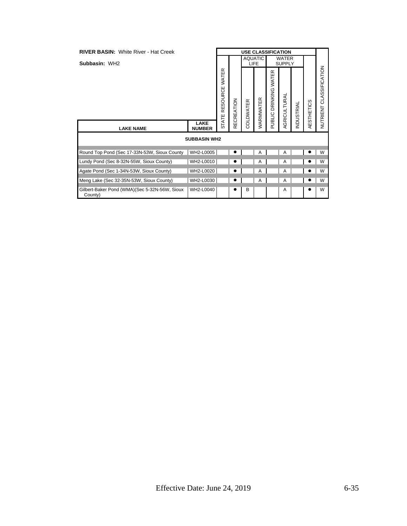| <b>RIVER BASIN: White River - Hat Creek</b>              |                              |                   |          |             | <b>USE CLASSIFICATION</b> |                                      |                               |                   |            |                            |
|----------------------------------------------------------|------------------------------|-------------------|----------|-------------|---------------------------|--------------------------------------|-------------------------------|-------------------|------------|----------------------------|
| Subbasin: WH2                                            |                              |                   |          | <b>LIFE</b> | <b>AQUATIC</b>            |                                      | <b>WATER</b><br><b>SUPPLY</b> |                   |            |                            |
|                                                          |                              | WATER<br>RESOURCE | CREATION | COLDWATER   | WARMWATER                 | $\propto$<br>DRINKING WATE<br>PUBLIC | <b>AGRICULTURAL</b>           | <b>INDUSTRIAL</b> | AESTHETICS | CLASSIFICATION<br>NUTRIENT |
| <b>LAKE NAME</b>                                         | <b>LAKE</b><br><b>NUMBER</b> | <b>STATE</b>      | 臣        |             |                           |                                      |                               |                   |            |                            |
|                                                          | <b>SUBBASIN WH2</b>          |                   |          |             |                           |                                      |                               |                   |            |                            |
| Round Top Pond (Sec 17-33N-53W, Sioux County             | WH2-L0005                    |                   |          |             | Α                         |                                      | A                             |                   |            | W                          |
| Lundy Pond (Sec 8-32N-55W, Sioux County)                 | WH2-L0010                    |                   |          |             | Α                         |                                      | A                             |                   |            | W                          |
| Agate Pond (Sec 1-34N-53W, Sioux County)                 | WH2-L0020                    |                   |          |             | A                         |                                      | A                             |                   |            | W                          |
| Meng Lake (Sec 32-35N-53W, Sioux County)                 | WH2-L0030                    |                   |          |             | Α                         |                                      | Α                             |                   |            | W                          |
| Gilbert-Baker Pond (WMA)(Sec 5-32N-56W, Sioux<br>County) | WH2-L0040                    |                   |          | B           |                           |                                      | A                             |                   |            | W                          |